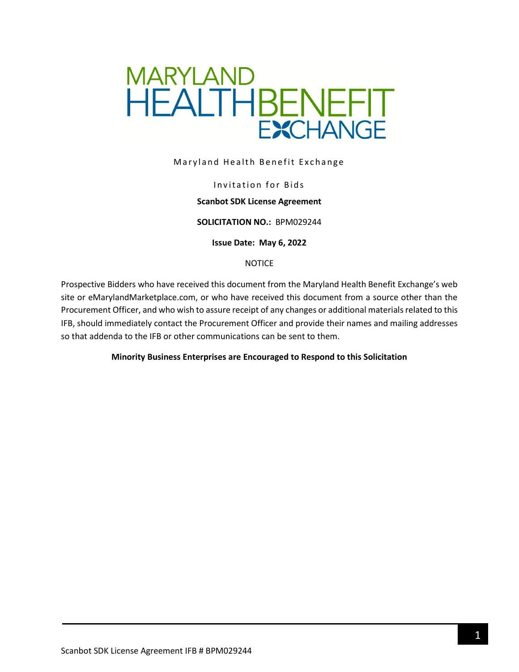

Maryland Health Benefit Exchange

### Invitation for Bids

### **Scanbot SDK License Agreement**

#### **SOLICITATION NO.:** BPM029244

**Issue Date: May 6, 2022**

#### NOTICE

Prospective Bidders who have received this document from the Maryland Health Benefit Exchange's web site or eMarylandMarketplace.com, or who have received this document from a source other than the Procurement Officer, and who wish to assure receipt of any changes or additional materials related to this IFB, should immediately contact the Procurement Officer and provide their names and mailing addresses so that addenda to the IFB or other communications can be sent to them.

#### **Minority Business Enterprises are Encouraged to Respond to this Solicitation**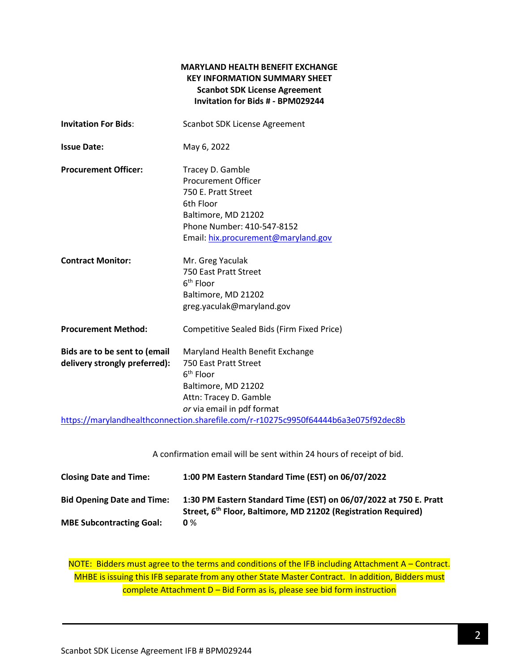## **MARYLAND HEALTH BENEFIT EXCHANGE KEY INFORMATION SUMMARY SHEET Scanbot SDK License Agreement Invitation for Bids # - BPM029244**

| <b>Invitation For Bids:</b>                                    | Scanbot SDK License Agreement                                                                                                                                                  |  |
|----------------------------------------------------------------|--------------------------------------------------------------------------------------------------------------------------------------------------------------------------------|--|
| <b>Issue Date:</b>                                             | May 6, 2022                                                                                                                                                                    |  |
| <b>Procurement Officer:</b>                                    | Tracey D. Gamble<br><b>Procurement Officer</b><br>750 E. Pratt Street<br>6th Floor<br>Baltimore, MD 21202<br>Phone Number: 410-547-8152<br>Email: hix.procurement@maryland.gov |  |
| <b>Contract Monitor:</b>                                       | Mr. Greg Yaculak<br>750 East Pratt Street<br>6 <sup>th</sup> Floor<br>Baltimore, MD 21202<br>greg.yaculak@maryland.gov                                                         |  |
| <b>Procurement Method:</b>                                     | Competitive Sealed Bids (Firm Fixed Price)                                                                                                                                     |  |
| Bids are to be sent to (email<br>delivery strongly preferred): | Maryland Health Benefit Exchange<br>750 East Pratt Street<br>$6th$ Floor<br>Baltimore, MD 21202<br>Attn: Tracey D. Gamble<br>or via email in pdf format                        |  |
|                                                                | https://marylandhealthconnection.sharefile.com/r-r10275c9950f64444b6a3e075f92dec8b                                                                                             |  |

A confirmation email will be sent within 24 hours of receipt of bid.

| <b>Closing Date and Time:</b>     | 1:00 PM Eastern Standard Time (EST) on 06/07/2022                                                                                               |
|-----------------------------------|-------------------------------------------------------------------------------------------------------------------------------------------------|
| <b>Bid Opening Date and Time:</b> | 1:30 PM Eastern Standard Time (EST) on 06/07/2022 at 750 E. Pratt<br>Street, 6 <sup>th</sup> Floor, Baltimore, MD 21202 (Registration Required) |
| <b>MBE Subcontracting Goal:</b>   | $0\%$                                                                                                                                           |

NOTE: Bidders must agree to the terms and conditions of the IFB including Attachment A – Contract. MHBE is issuing this IFB separate from any other State Master Contract. In addition, Bidders must complete Attachment D – Bid Form as is, please see bid form instruction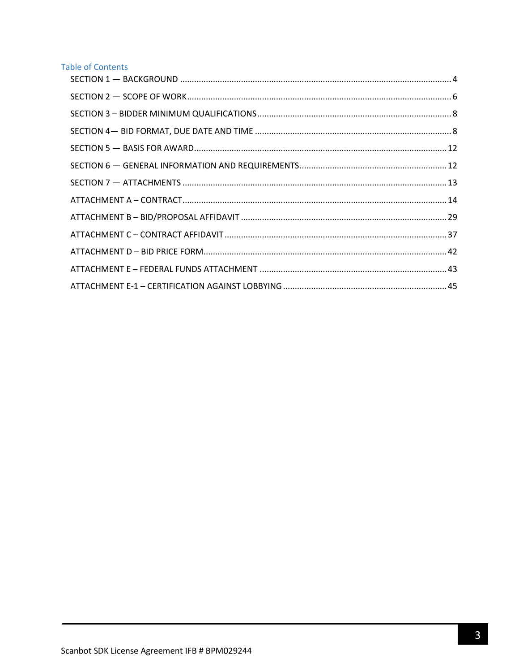# **Table of Contents**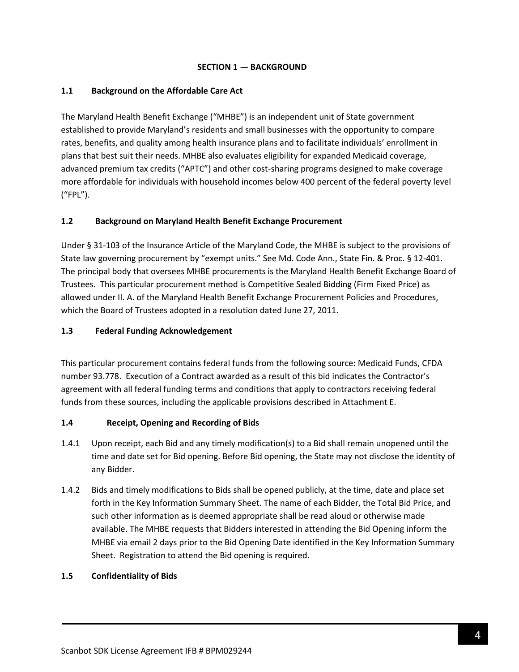## **SECTION 1 — BACKGROUND**

## <span id="page-3-0"></span>**1.1 Background on the Affordable Care Act**

The Maryland Health Benefit Exchange ("MHBE") is an independent unit of State government established to provide Maryland's residents and small businesses with the opportunity to compare rates, benefits, and quality among health insurance plans and to facilitate individuals' enrollment in plans that best suit their needs. MHBE also evaluates eligibility for expanded Medicaid coverage, advanced premium tax credits ("APTC") and other cost-sharing programs designed to make coverage more affordable for individuals with household incomes below 400 percent of the federal poverty level ("FPL").

## **1.2 Background on Maryland Health Benefit Exchange Procurement**

Under § 31-103 of the Insurance Article of the Maryland Code, the MHBE is subject to the provisions of State law governing procurement by "exempt units." See Md. Code Ann., State Fin. & Proc. § 12-401. The principal body that oversees MHBE procurements is the Maryland Health Benefit Exchange Board of Trustees. This particular procurement method is Competitive Sealed Bidding (Firm Fixed Price) as allowed under II. A. of the Maryland Health Benefit Exchange Procurement Policies and Procedures, which the Board of Trustees adopted in a resolution dated June 27, 2011.

## **1.3 Federal Funding Acknowledgement**

This particular procurement contains federal funds from the following source: Medicaid Funds, CFDA number 93.778. Execution of a Contract awarded as a result of this bid indicates the Contractor's agreement with all federal funding terms and conditions that apply to contractors receiving federal funds from these sources, including the applicable provisions described in Attachment E.

### **1.4 Receipt, Opening and Recording of Bids**

- 1.4.1 Upon receipt, each Bid and any timely modification(s) to a Bid shall remain unopened until the time and date set for Bid opening. Before Bid opening, the State may not disclose the identity of any Bidder.
- 1.4.2 Bids and timely modifications to Bids shall be opened publicly, at the time, date and place set forth in the Key Information Summary Sheet. The name of each Bidder, the Total Bid Price, and such other information as is deemed appropriate shall be read aloud or otherwise made available. The MHBE requests that Bidders interested in attending the Bid Opening inform the MHBE via email 2 days prior to the Bid Opening Date identified in the Key Information Summary Sheet. Registration to attend the Bid opening is required.

### **1.5 Confidentiality of Bids**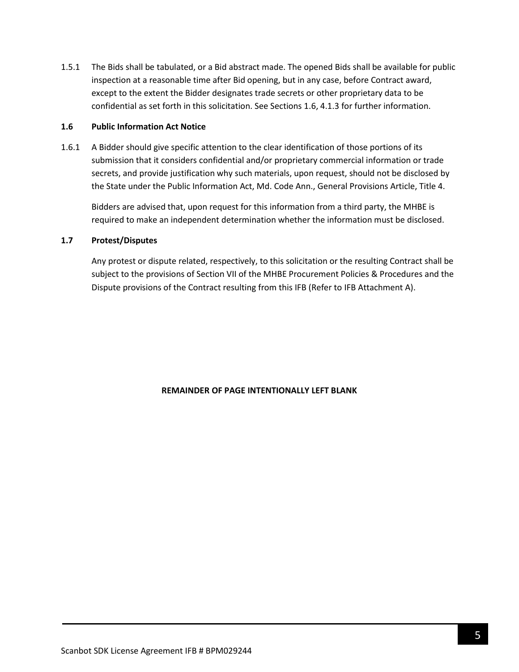1.5.1 The Bids shall be tabulated, or a Bid abstract made. The opened Bids shall be available for public inspection at a reasonable time after Bid opening, but in any case, before Contract award, except to the extent the Bidder designates trade secrets or other proprietary data to be confidential as set forth in this solicitation. See Sections 1.6, 4.1.3 for further information.

#### **1.6 Public Information Act Notice**

1.6.1 A Bidder should give specific attention to the clear identification of those portions of its submission that it considers confidential and/or proprietary commercial information or trade secrets, and provide justification why such materials, upon request, should not be disclosed by the State under the Public Information Act, Md. Code Ann., General Provisions Article, Title 4.

Bidders are advised that, upon request for this information from a third party, the MHBE is required to make an independent determination whether the information must be disclosed.

### **1.7 Protest/Disputes**

Any protest or dispute related, respectively, to this solicitation or the resulting Contract shall be subject to the provisions of Section VII of the MHBE Procurement Policies & Procedures and the Dispute provisions of the Contract resulting from this IFB (Refer to IFB Attachment A).

### **REMAINDER OF PAGE INTENTIONALLY LEFT BLANK**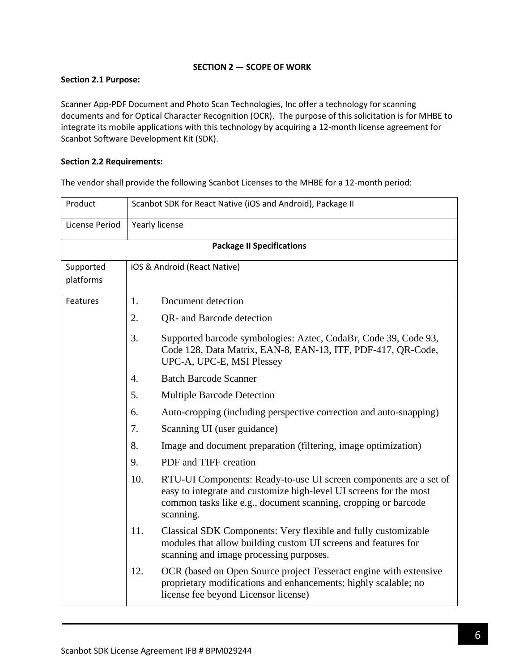## **SECTION 2 — SCOPE OF WORK**

## <span id="page-5-0"></span>**Section 2.1 Purpose:**

Scanner App-PDF Document and Photo Scan Technologies, Inc offer a technology for scanning documents and for Optical Character Recognition (OCR). The purpose of this solicitation is for MHBE to integrate its mobile applications with this technology by acquiring a 12-month license agreement for Scanbot Software Development Kit (SDK).

## **Section 2.2 Requirements:**

The vendor shall provide the following Scanbot Licenses to the MHBE for a 12-month period:

| Product                | Scanbot SDK for React Native (iOS and Android), Package II |                                                                                                                                                                                                                        |  |  |  |
|------------------------|------------------------------------------------------------|------------------------------------------------------------------------------------------------------------------------------------------------------------------------------------------------------------------------|--|--|--|
| License Period         |                                                            | Yearly license                                                                                                                                                                                                         |  |  |  |
|                        |                                                            | <b>Package II Specifications</b>                                                                                                                                                                                       |  |  |  |
| Supported<br>platforms |                                                            | iOS & Android (React Native)                                                                                                                                                                                           |  |  |  |
| Features               | 1.                                                         | Document detection                                                                                                                                                                                                     |  |  |  |
|                        | 2.                                                         | QR- and Barcode detection                                                                                                                                                                                              |  |  |  |
|                        | 3.                                                         | Supported barcode symbologies: Aztec, CodaBr, Code 39, Code 93,<br>Code 128, Data Matrix, EAN-8, EAN-13, ITF, PDF-417, QR-Code,<br>UPC-A, UPC-E, MSI Plessey                                                           |  |  |  |
|                        | 4.                                                         | <b>Batch Barcode Scanner</b>                                                                                                                                                                                           |  |  |  |
|                        | 5.                                                         | <b>Multiple Barcode Detection</b>                                                                                                                                                                                      |  |  |  |
|                        | 6.                                                         | Auto-cropping (including perspective correction and auto-snapping)                                                                                                                                                     |  |  |  |
|                        | 7.                                                         | Scanning UI (user guidance)                                                                                                                                                                                            |  |  |  |
|                        | 8.                                                         | Image and document preparation (filtering, image optimization)                                                                                                                                                         |  |  |  |
|                        | 9.                                                         | PDF and TIFF creation                                                                                                                                                                                                  |  |  |  |
|                        | 10.                                                        | RTU-UI Components: Ready-to-use UI screen components are a set of<br>easy to integrate and customize high-level UI screens for the most<br>common tasks like e.g., document scanning, cropping or barcode<br>scanning. |  |  |  |
|                        | 11.                                                        | Classical SDK Components: Very flexible and fully customizable<br>modules that allow building custom UI screens and features for<br>scanning and image processing purposes.                                            |  |  |  |
|                        | 12.                                                        | OCR (based on Open Source project Tesseract engine with extensive<br>proprietary modifications and enhancements; highly scalable; no<br>license fee beyond Licensor license)                                           |  |  |  |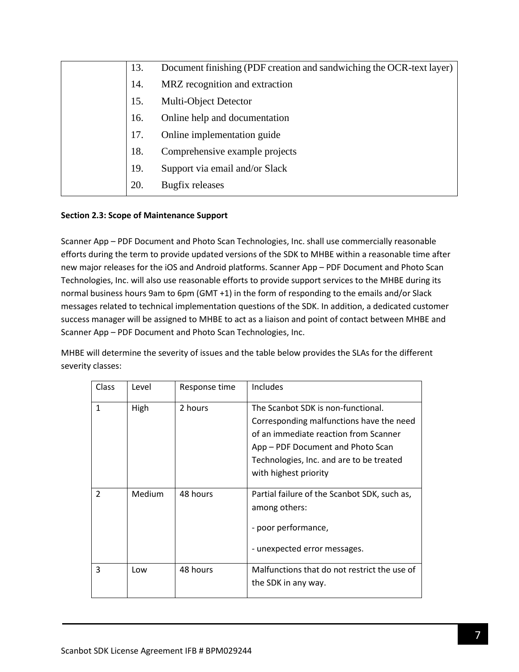| 13. | Document finishing (PDF creation and sandwiching the OCR-text layer) |
|-----|----------------------------------------------------------------------|
| 14. | MRZ recognition and extraction                                       |
| 15. | Multi-Object Detector                                                |
| 16. | Online help and documentation                                        |
| 17. | Online implementation guide                                          |
| 18. | Comprehensive example projects                                       |
| 19. | Support via email and/or Slack                                       |
| 20. | Bugfix releases                                                      |

## **Section 2.3: Scope of Maintenance Support**

Scanner App – PDF Document and Photo Scan Technologies, Inc. shall use commercially reasonable efforts during the term to provide updated versions of the SDK to MHBE within a reasonable time after new major releases for the iOS and Android platforms. Scanner App – PDF Document and Photo Scan Technologies, Inc. will also use reasonable efforts to provide support services to the MHBE during its normal business hours 9am to 6pm (GMT +1) in the form of responding to the emails and/or Slack messages related to technical implementation questions of the SDK. In addition, a dedicated customer success manager will be assigned to MHBE to act as a liaison and point of contact between MHBE and Scanner App – PDF Document and Photo Scan Technologies, Inc.

MHBE will determine the severity of issues and the table below provides the SLAs for the different severity classes:

| Class          | Level  | Response time | Includes                                                                                                                                                                                                                          |
|----------------|--------|---------------|-----------------------------------------------------------------------------------------------------------------------------------------------------------------------------------------------------------------------------------|
| 1              | High   | 2 hours       | The Scanbot SDK is non-functional.<br>Corresponding malfunctions have the need<br>of an immediate reaction from Scanner<br>App – PDF Document and Photo Scan<br>Technologies, Inc. and are to be treated<br>with highest priority |
| $\mathfrak{p}$ | Medium | 48 hours      | Partial failure of the Scanbot SDK, such as,<br>among others:<br>- poor performance,<br>- unexpected error messages.                                                                                                              |
| 3              | Low    | 48 hours      | Malfunctions that do not restrict the use of<br>the SDK in any way.                                                                                                                                                               |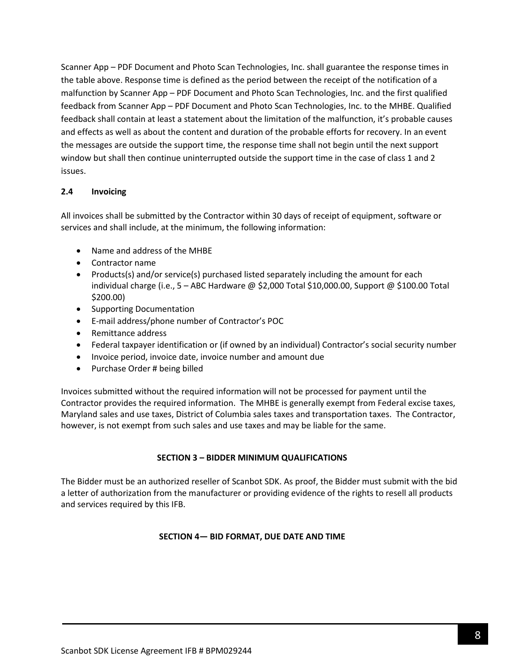Scanner App – PDF Document and Photo Scan Technologies, Inc. shall guarantee the response times in the table above. Response time is defined as the period between the receipt of the notification of a malfunction by Scanner App – PDF Document and Photo Scan Technologies, Inc. and the first qualified feedback from Scanner App – PDF Document and Photo Scan Technologies, Inc. to the MHBE. Qualified feedback shall contain at least a statement about the limitation of the malfunction, it's probable causes and effects as well as about the content and duration of the probable efforts for recovery. In an event the messages are outside the support time, the response time shall not begin until the next support window but shall then continue uninterrupted outside the support time in the case of class 1 and 2 issues.

## **2.4 Invoicing**

All invoices shall be submitted by the Contractor within 30 days of receipt of equipment, software or services and shall include, at the minimum, the following information:

- Name and address of the MHBE
- Contractor name
- Products(s) and/or service(s) purchased listed separately including the amount for each individual charge (i.e., 5 – ABC Hardware @ \$2,000 Total \$10,000.00, Support @ \$100.00 Total \$200.00)
- Supporting Documentation
- E-mail address/phone number of Contractor's POC
- Remittance address
- Federal taxpayer identification or (if owned by an individual) Contractor's social security number
- Invoice period, invoice date, invoice number and amount due
- Purchase Order # being billed

Invoices submitted without the required information will not be processed for payment until the Contractor provides the required information. The MHBE is generally exempt from Federal excise taxes, Maryland sales and use taxes, District of Columbia sales taxes and transportation taxes. The Contractor, however, is not exempt from such sales and use taxes and may be liable for the same.

### **SECTION 3 – BIDDER MINIMUM QUALIFICATIONS**

<span id="page-7-1"></span><span id="page-7-0"></span>The Bidder must be an authorized reseller of Scanbot SDK. As proof, the Bidder must submit with the bid a letter of authorization from the manufacturer or providing evidence of the rights to resell all products and services required by this IFB.

### **SECTION 4— BID FORMAT, DUE DATE AND TIME**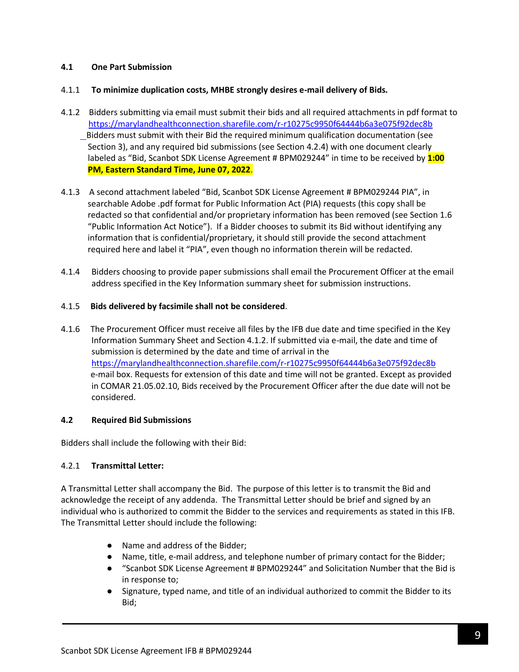## **4.1 One Part Submission**

## 4.1.1 **To minimize duplication costs, MHBE strongly desires e-mail delivery of Bids***.*

- 4.1.2 Bidders submitting via email must submit their bids and all required attachments in pdf format to <https://marylandhealthconnection.sharefile.com/r-r10275c9950f64444b6a3e075f92dec8b> Bidders must submit with their Bid the required minimum qualification documentation (see Section 3), and any required bid submissions (see Section 4.2.4) with one document clearly labeled as "Bid, Scanbot SDK License Agreement # BPM029244" in time to be received by **1:00 PM, Eastern Standard Time, June 07, 2022**.
- 4.1.3 A second attachment labeled "Bid, Scanbot SDK License Agreement # BPM029244 PIA", in searchable Adobe .pdf format for Public Information Act (PIA) requests (this copy shall be redacted so that confidential and/or proprietary information has been removed (see Section 1.6 "Public Information Act Notice"). If a Bidder chooses to submit its Bid without identifying any information that is confidential/proprietary, it should still provide the second attachment required here and label it "PIA", even though no information therein will be redacted.
- 4.1.4 Bidders choosing to provide paper submissions shall email the Procurement Officer at the email address specified in the Key Information summary sheet for submission instructions.

## 4.1.5 **Bids delivered by facsimile shall not be considered**.

4.1.6 The Procurement Officer must receive all files by the IFB due date and time specified in the Key Information Summary Sheet and Section 4.1.2. If submitted via e-mail, the date and time of submission is determined by the date and time of arrival in the <https://marylandhealthconnection.sharefile.com/r-r10275c9950f64444b6a3e075f92dec8b> e-mail box. Requests for extension of this date and time will not be granted. Except as provided in COMAR 21.05.02.10, Bids received by the Procurement Officer after the due date will not be considered.

### **4.2 Required Bid Submissions**

Bidders shall include the following with their Bid:

## 4.2.1 **Transmittal Letter:**

A Transmittal Letter shall accompany the Bid. The purpose of this letter is to transmit the Bid and acknowledge the receipt of any addenda. The Transmittal Letter should be brief and signed by an individual who is authorized to commit the Bidder to the services and requirements as stated in this IFB. The Transmittal Letter should include the following:

- Name and address of the Bidder;
- Name, title, e-mail address, and telephone number of primary contact for the Bidder;
- "Scanbot SDK License Agreement # BPM029244" and Solicitation Number that the Bid is in response to;
- Signature, typed name, and title of an individual authorized to commit the Bidder to its Bid;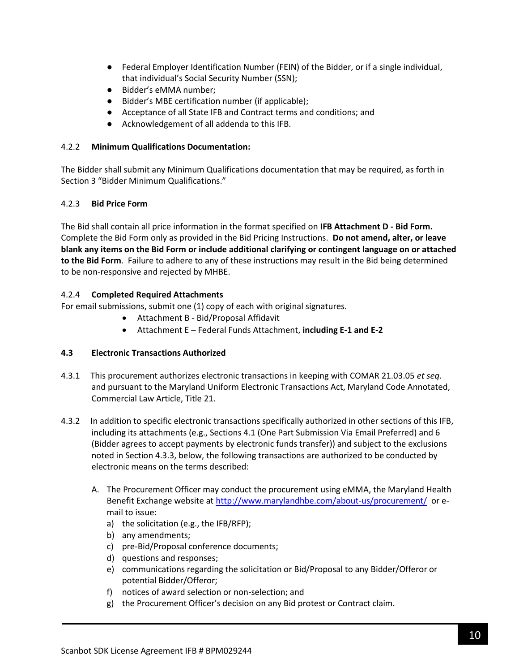- Federal Employer Identification Number (FEIN) of the Bidder, or if a single individual, that individual's Social Security Number (SSN);
- Bidder's eMMA number;
- Bidder's MBE certification number (if applicable);
- Acceptance of all State IFB and Contract terms and conditions; and
- Acknowledgement of all addenda to this IFB.

## 4.2.2 **Minimum Qualifications Documentation:**

The Bidder shall submit any Minimum Qualifications documentation that may be required, as forth in Section 3 "Bidder Minimum Qualifications."

## 4.2.3 **Bid Price Form**

The Bid shall contain all price information in the format specified on **IFB Attachment D - Bid Form.** Complete the Bid Form only as provided in the Bid Pricing Instructions. **Do not amend, alter, or leave blank any items on the Bid Form or include additional clarifying or contingent language on or attached to the Bid Form**. Failure to adhere to any of these instructions may result in the Bid being determined to be non-responsive and rejected by MHBE.

## 4.2.4 **Completed Required Attachments**

For email submissions, submit one (1) copy of each with original signatures.

- Attachment B Bid/Proposal Affidavit
- Attachment E Federal Funds Attachment, **including E-1 and E-2**

## **4.3 Electronic Transactions Authorized**

- 4.3.1 This procurement authorizes electronic transactions in keeping with COMAR 21.03.05 *et seq*. and pursuant to the Maryland Uniform Electronic Transactions Act, Maryland Code Annotated, Commercial Law Article, Title 21.
- 4.3.2 In addition to specific electronic transactions specifically authorized in other sections of this IFB, including its attachments (e.g., Sections 4.1 (One Part Submission Via Email Preferred) and 6 (Bidder agrees to accept payments by electronic funds transfer)) and subject to the exclusions noted in Section 4.3.3, below, the following transactions are authorized to be conducted by electronic means on the terms described:
	- A. The Procurement Officer may conduct the procurement using eMMA, the Maryland Health Benefit Exchange website a[t http://www.marylandhbe.com/about-us/procurement/](http://www.marylandhbe.com/about-us/procurement/) or email to issue:
		- a) the solicitation (e.g., the IFB/RFP);
		- b) any amendments;
		- c) pre-Bid/Proposal conference documents;
		- d) questions and responses;
		- e) communications regarding the solicitation or Bid/Proposal to any Bidder/Offeror or potential Bidder/Offeror;
		- f) notices of award selection or non-selection; and
		- g) the Procurement Officer's decision on any Bid protest or Contract claim.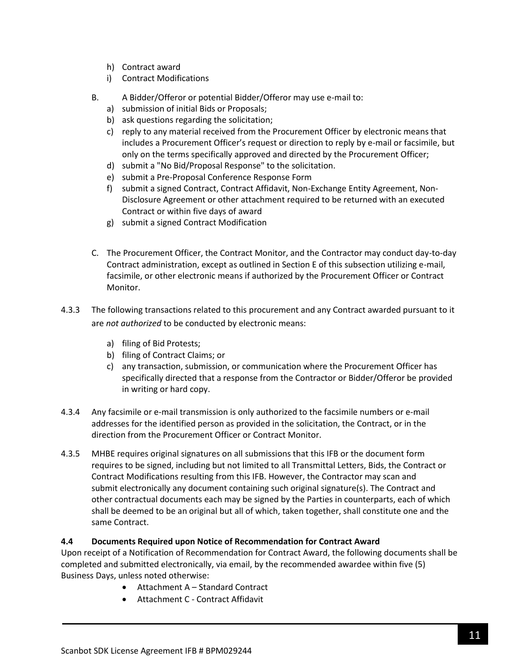- h) Contract award
- i) Contract Modifications
- B. A Bidder/Offeror or potential Bidder/Offeror may use e-mail to:
	- a) submission of initial Bids or Proposals;
	- b) ask questions regarding the solicitation;
	- c) reply to any material received from the Procurement Officer by electronic means that includes a Procurement Officer's request or direction to reply by e-mail or facsimile, but only on the terms specifically approved and directed by the Procurement Officer;
	- d) submit a "No Bid/Proposal Response" to the solicitation.
	- e) submit a Pre-Proposal Conference Response Form
	- f) submit a signed Contract, Contract Affidavit, Non-Exchange Entity Agreement, Non-Disclosure Agreement or other attachment required to be returned with an executed Contract or within five days of award
	- g) submit a signed Contract Modification
- C. The Procurement Officer, the Contract Monitor, and the Contractor may conduct day-to-day Contract administration, except as outlined in Section E of this subsection utilizing e-mail, facsimile, or other electronic means if authorized by the Procurement Officer or Contract Monitor.
- 4.3.3 The following transactions related to this procurement and any Contract awarded pursuant to it are *not authorized* to be conducted by electronic means:
	- a) filing of Bid Protests;
	- b) filing of Contract Claims; or
	- c) any transaction, submission, or communication where the Procurement Officer has specifically directed that a response from the Contractor or Bidder/Offeror be provided in writing or hard copy.
- 4.3.4 Any facsimile or e-mail transmission is only authorized to the facsimile numbers or e-mail addresses for the identified person as provided in the solicitation, the Contract, or in the direction from the Procurement Officer or Contract Monitor.
- 4.3.5 MHBE requires original signatures on all submissions that this IFB or the document form requires to be signed, including but not limited to all Transmittal Letters, Bids, the Contract or Contract Modifications resulting from this IFB. However, the Contractor may scan and submit electronically any document containing such original signature(s). The Contract and other contractual documents each may be signed by the Parties in counterparts, each of which shall be deemed to be an original but all of which, taken together, shall constitute one and the same Contract.

## **4.4 Documents Required upon Notice of Recommendation for Contract Award**

Upon receipt of a Notification of Recommendation for Contract Award, the following documents shall be completed and submitted electronically, via email, by the recommended awardee within five (5) Business Days, unless noted otherwise:

- Attachment A Standard Contract
- Attachment C Contract Affidavit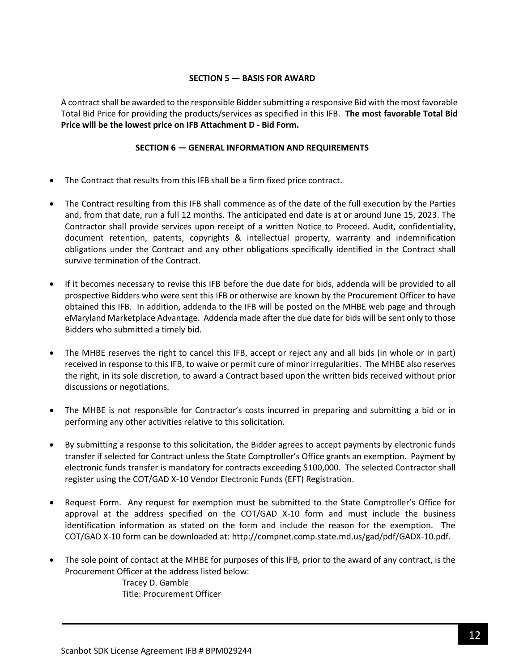### **SECTION 5 — BASIS FOR AWARD**

<span id="page-11-0"></span>A contract shall be awarded to the responsible Bidder submitting a responsive Bid with the most favorable Total Bid Price for providing the products/services as specified in this IFB. **The most favorable Total Bid Price will be the lowest price on IFB Attachment D - Bid Form.**

### **SECTION 6 — GENERAL INFORMATION AND REQUIREMENTS**

- <span id="page-11-1"></span>• The Contract that results from this IFB shall be a firm fixed price contract.
- The Contract resulting from this IFB shall commence as of the date of the full execution by the Parties and, from that date, run a full 12 months. The anticipated end date is at or around June 15, 2023. The Contractor shall provide services upon receipt of a written Notice to Proceed. Audit, confidentiality, document retention, patents, copyrights & intellectual property, warranty and indemnification obligations under the Contract and any other obligations specifically identified in the Contract shall survive termination of the Contract.
- If it becomes necessary to revise this IFB before the due date for bids, addenda will be provided to all prospective Bidders who were sent this IFB or otherwise are known by the Procurement Officer to have obtained this IFB. In addition, addenda to the IFB will be posted on the MHBE web page and through eMaryland Marketplace Advantage. Addenda made after the due date for bids will be sent only to those Bidders who submitted a timely bid.
- The MHBE reserves the right to cancel this IFB, accept or reject any and all bids (in whole or in part) received in response to this IFB, to waive or permit cure of minor irregularities. The MHBE also reserves the right, in its sole discretion, to award a Contract based upon the written bids received without prior discussions or negotiations.
- The MHBE is not responsible for Contractor's costs incurred in preparing and submitting a bid or in performing any other activities relative to this solicitation.
- By submitting a response to this solicitation, the Bidder agrees to accept payments by electronic funds transfer if selected for Contract unless the State Comptroller's Office grants an exemption. Payment by electronic funds transfer is mandatory for contracts exceeding \$100,000. The selected Contractor shall register using the COT/GAD X-10 Vendor Electronic Funds (EFT) Registration.
- Request Form. Any request for exemption must be submitted to the State Comptroller's Office for approval at the address specified on the COT/GAD X-10 form and must include the business identification information as stated on the form and include the reason for the exemption. The COT/GAD X-10 form can be downloaded at[: http://compnet.comp.state.md.us/gad/pdf/GADX-10.pdf.](http://compnet.comp.state.md.us/gad/pdf/GADX-10.pdf)
- The sole point of contact at the MHBE for purposes of this IFB, prior to the award of any contract, is the Procurement Officer at the address listed below: Tracey D. Gamble Title: Procurement Officer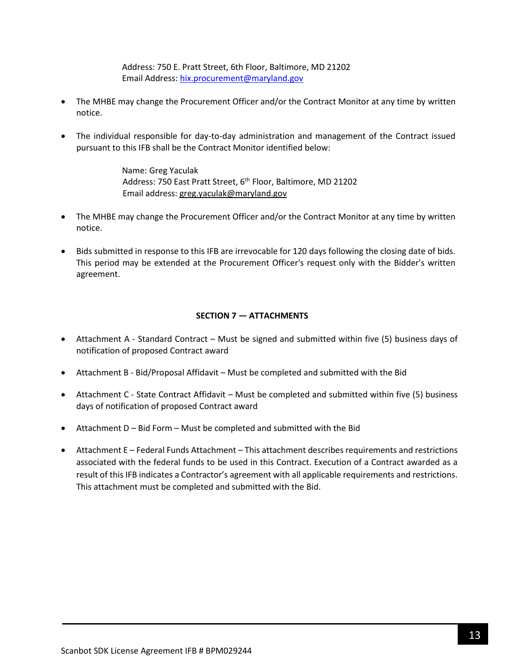Address: 750 E. Pratt Street, 6th Floor, Baltimore, MD 21202 Email Address: [hix.procurement@maryland.gov](mailto:hix.procurement@maryland.gov)

- The MHBE may change the Procurement Officer and/or the Contract Monitor at any time by written notice.
- The individual responsible for day-to-day administration and management of the Contract issued pursuant to this IFB shall be the Contract Monitor identified below:

Name: Greg Yaculak Address: 750 East Pratt Street, 6<sup>th</sup> Floor, Baltimore, MD 21202 Email address: [greg.yaculak@maryland.gov](mailto:greg.yaculak@maryland.gov) 

- The MHBE may change the Procurement Officer and/or the Contract Monitor at any time by written notice.
- Bids submitted in response to this IFB are irrevocable for 120 days following the closing date of bids. This period may be extended at the Procurement Officer's request only with the Bidder's written agreement.

### **SECTION 7 — ATTACHMENTS**

- <span id="page-12-0"></span>• Attachment A - Standard Contract – Must be signed and submitted within five (5) business days of notification of proposed Contract award
- Attachment B Bid/Proposal Affidavit Must be completed and submitted with the Bid
- Attachment C State Contract Affidavit Must be completed and submitted within five (5) business days of notification of proposed Contract award
- Attachment D Bid Form Must be completed and submitted with the Bid
- Attachment E Federal Funds Attachment This attachment describes requirements and restrictions associated with the federal funds to be used in this Contract. Execution of a Contract awarded as a result of this IFB indicates a Contractor's agreement with all applicable requirements and restrictions. This attachment must be completed and submitted with the Bid.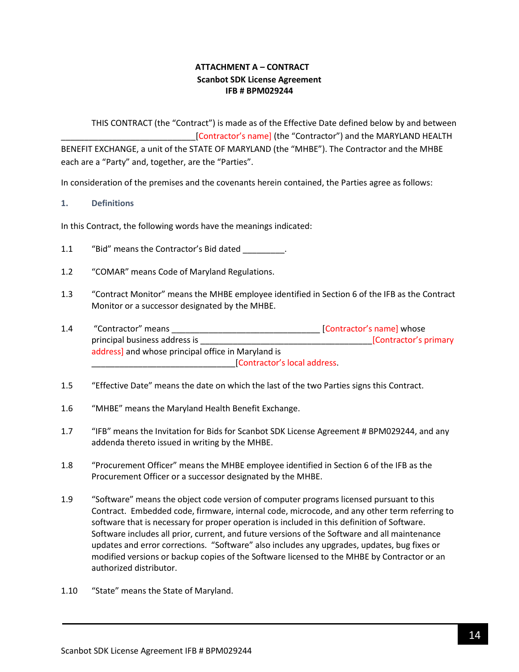# **ATTACHMENT A – CONTRACT Scanbot SDK License Agreement IFB # BPM029244**

<span id="page-13-0"></span>THIS CONTRACT (the "Contract") is made as of the Effective Date defined below by and between [Contractor's name] (the "Contractor") and the MARYLAND HEALTH BENEFIT EXCHANGE, a unit of the STATE OF MARYLAND (the "MHBE"). The Contractor and the MHBE each are a "Party" and, together, are the "Parties".

In consideration of the premises and the covenants herein contained, the Parties agree as follows:

### **1. Definitions**

In this Contract, the following words have the meanings indicated:

- 1.1 "Bid" means the Contractor's Bid dated .
- 1.2 "COMAR" means Code of Maryland Regulations.
- 1.3 "Contract Monitor" means the MHBE employee identified in Section 6 of the IFB as the Contract Monitor or a successor designated by the MHBE.
- 1.4 "Contractor" means \_\_\_\_\_\_\_\_\_\_\_\_\_\_\_\_\_\_\_\_\_\_\_\_\_\_\_\_\_\_\_\_ [Contractor's name] whose principal business address is \_\_\_\_\_\_\_\_\_\_\_\_\_\_\_\_\_\_\_\_\_\_\_\_\_\_\_\_\_\_\_\_\_\_\_\_\_[Contractor's primary address] and whose principal office in Maryland is \_\_\_\_\_\_\_\_\_\_\_\_\_\_\_\_\_\_\_\_\_\_\_\_\_\_\_\_\_\_\_[Contractor's local address.
- 1.5 "Effective Date" means the date on which the last of the two Parties signs this Contract.
- 1.6 "MHBE" means the Maryland Health Benefit Exchange.
- 1.7 "IFB" means the Invitation for Bids for Scanbot SDK License Agreement # BPM029244, and any addenda thereto issued in writing by the MHBE.
- 1.8 "Procurement Officer" means the MHBE employee identified in Section 6 of the IFB as the Procurement Officer or a successor designated by the MHBE.
- 1.9 "Software" means the object code version of computer programs licensed pursuant to this Contract. Embedded code, firmware, internal code, microcode, and any other term referring to software that is necessary for proper operation is included in this definition of Software. Software includes all prior, current, and future versions of the Software and all maintenance updates and error corrections. "Software" also includes any upgrades, updates, bug fixes or modified versions or backup copies of the Software licensed to the MHBE by Contractor or an authorized distributor.
- 1.10 "State" means the State of Maryland.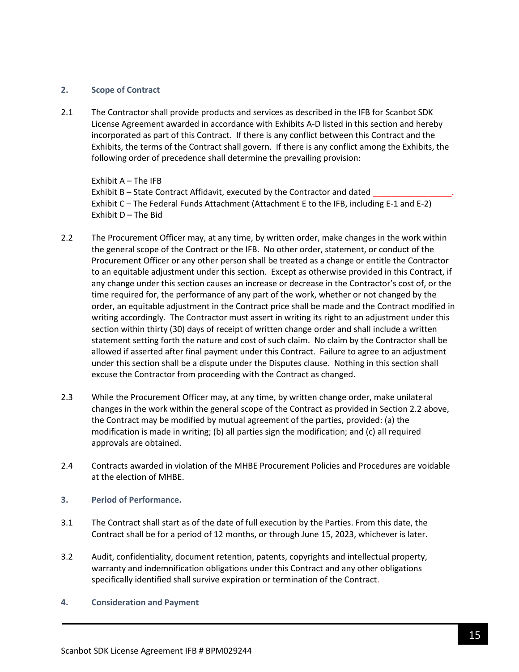#### **2. Scope of Contract**

2.1 The Contractor shall provide products and services as described in the IFB for Scanbot SDK License Agreement awarded in accordance with Exhibits A-D listed in this section and hereby incorporated as part of this Contract. If there is any conflict between this Contract and the Exhibits, the terms of the Contract shall govern. If there is any conflict among the Exhibits, the following order of precedence shall determine the prevailing provision:

Exhibit A – The IFB Exhibit B – State Contract Affidavit, executed by the Contractor and dated Exhibit C – The Federal Funds Attachment (Attachment E to the IFB, including E-1 and E-2) Exhibit D – The Bid

- 2.2 The Procurement Officer may, at any time, by written order, make changes in the work within the general scope of the Contract or the IFB. No other order, statement, or conduct of the Procurement Officer or any other person shall be treated as a change or entitle the Contractor to an equitable adjustment under this section. Except as otherwise provided in this Contract, if any change under this section causes an increase or decrease in the Contractor's cost of, or the time required for, the performance of any part of the work, whether or not changed by the order, an equitable adjustment in the Contract price shall be made and the Contract modified in writing accordingly. The Contractor must assert in writing its right to an adjustment under this section within thirty (30) days of receipt of written change order and shall include a written statement setting forth the nature and cost of such claim. No claim by the Contractor shall be allowed if asserted after final payment under this Contract. Failure to agree to an adjustment under this section shall be a dispute under the Disputes clause. Nothing in this section shall excuse the Contractor from proceeding with the Contract as changed.
- 2.3 While the Procurement Officer may, at any time, by written change order, make unilateral changes in the work within the general scope of the Contract as provided in Section 2.2 above, the Contract may be modified by mutual agreement of the parties, provided: (a) the modification is made in writing; (b) all parties sign the modification; and (c) all required approvals are obtained.
- 2.4 Contracts awarded in violation of the MHBE Procurement Policies and Procedures are voidable at the election of MHBE.
- **3. Period of Performance.**
- 3.1 The Contract shall start as of the date of full execution by the Parties. From this date, the Contract shall be for a period of 12 months, or through June 15, 2023, whichever is later.
- 3.2 Audit, confidentiality, document retention, patents, copyrights and intellectual property, warranty and indemnification obligations under this Contract and any other obligations specifically identified shall survive expiration or termination of the Contract.
- **4. Consideration and Payment**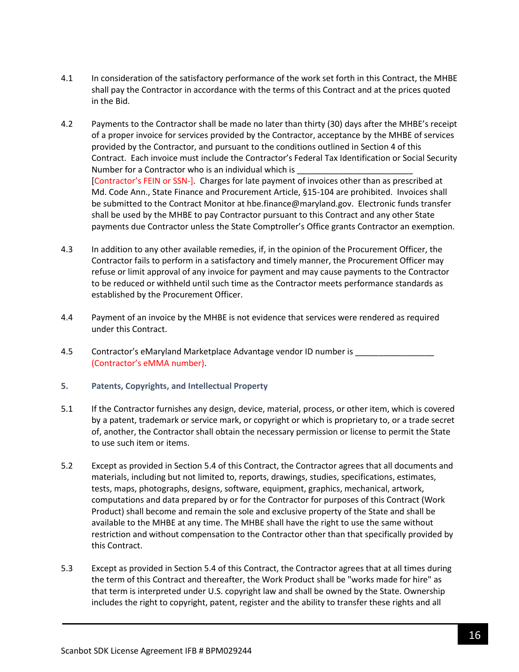- 4.1 In consideration of the satisfactory performance of the work set forth in this Contract, the MHBE shall pay the Contractor in accordance with the terms of this Contract and at the prices quoted in the Bid.
- 4.2 Payments to the Contractor shall be made no later than thirty (30) days after the MHBE's receipt of a proper invoice for services provided by the Contractor, acceptance by the MHBE of services provided by the Contractor, and pursuant to the conditions outlined in Section 4 of this Contract. Each invoice must include the Contractor's Federal Tax Identification or Social Security Number for a Contractor who is an individual which is [Contractor's FEIN or SSN-]. Charges for late payment of invoices other than as prescribed at Md. Code Ann., State Finance and Procurement Article, §15-104 are prohibited. Invoices shall be submitted to the Contract Monitor at hbe.finance@maryland.gov. Electronic funds transfer shall be used by the MHBE to pay Contractor pursuant to this Contract and any other State payments due Contractor unless the State Comptroller's Office grants Contractor an exemption.
- 4.3 In addition to any other available remedies, if, in the opinion of the Procurement Officer, the Contractor fails to perform in a satisfactory and timely manner, the Procurement Officer may refuse or limit approval of any invoice for payment and may cause payments to the Contractor to be reduced or withheld until such time as the Contractor meets performance standards as established by the Procurement Officer.
- 4.4 Payment of an invoice by the MHBE is not evidence that services were rendered as required under this Contract.
- 4.5 Contractor's eMaryland Marketplace Advantage vendor ID number is \_\_\_\_\_\_\_\_\_\_\_ (Contractor's eMMA number).
- **5. Patents, Copyrights, and Intellectual Property**
- 5.1 If the Contractor furnishes any design, device, material, process, or other item, which is covered by a patent, trademark or service mark, or copyright or which is proprietary to, or a trade secret of, another, the Contractor shall obtain the necessary permission or license to permit the State to use such item or items.
- 5.2 Except as provided in Section 5.4 of this Contract, the Contractor agrees that all documents and materials, including but not limited to, reports, drawings, studies, specifications, estimates, tests, maps, photographs, designs, software, equipment, graphics, mechanical, artwork, computations and data prepared by or for the Contractor for purposes of this Contract (Work Product) shall become and remain the sole and exclusive property of the State and shall be available to the MHBE at any time. The MHBE shall have the right to use the same without restriction and without compensation to the Contractor other than that specifically provided by this Contract.
- 5.3 Except as provided in Section 5.4 of this Contract, the Contractor agrees that at all times during the term of this Contract and thereafter, the Work Product shall be "works made for hire" as that term is interpreted under U.S. copyright law and shall be owned by the State. Ownership includes the right to copyright, patent, register and the ability to transfer these rights and all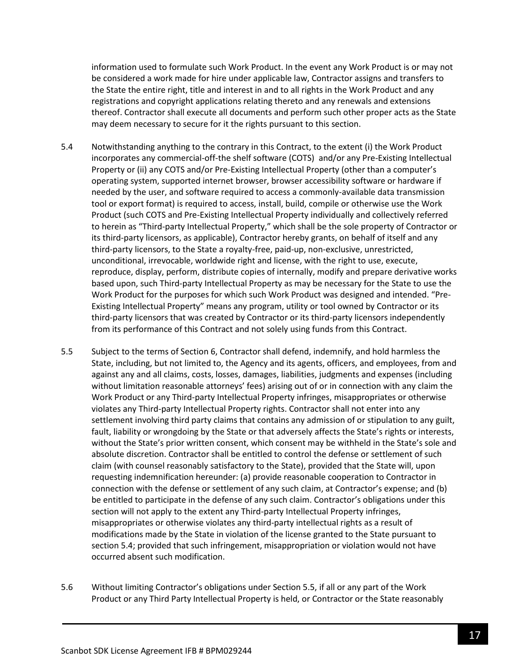information used to formulate such Work Product. In the event any Work Product is or may not be considered a work made for hire under applicable law, Contractor assigns and transfers to the State the entire right, title and interest in and to all rights in the Work Product and any registrations and copyright applications relating thereto and any renewals and extensions thereof. Contractor shall execute all documents and perform such other proper acts as the State may deem necessary to secure for it the rights pursuant to this section.

- 5.4 Notwithstanding anything to the contrary in this Contract, to the extent (i) the Work Product incorporates any commercial-off-the shelf software (COTS) and/or any Pre-Existing Intellectual Property or (ii) any COTS and/or Pre-Existing Intellectual Property (other than a computer's operating system, supported internet browser, browser accessibility software or hardware if needed by the user, and software required to access a commonly-available data transmission tool or export format) is required to access, install, build, compile or otherwise use the Work Product (such COTS and Pre-Existing Intellectual Property individually and collectively referred to herein as "Third-party Intellectual Property," which shall be the sole property of Contractor or its third-party licensors, as applicable), Contractor hereby grants, on behalf of itself and any third-party licensors, to the State a royalty-free, paid-up, non-exclusive, unrestricted, unconditional, irrevocable, worldwide right and license, with the right to use, execute, reproduce, display, perform, distribute copies of internally, modify and prepare derivative works based upon, such Third-party Intellectual Property as may be necessary for the State to use the Work Product for the purposes for which such Work Product was designed and intended. "Pre-Existing Intellectual Property" means any program, utility or tool owned by Contractor or its third-party licensors that was created by Contractor or its third-party licensors independently from its performance of this Contract and not solely using funds from this Contract.
- 5.5 Subject to the terms of Section 6, Contractor shall defend, indemnify, and hold harmless the State, including, but not limited to, the Agency and its agents, officers, and employees, from and against any and all claims, costs, losses, damages, liabilities, judgments and expenses (including without limitation reasonable attorneys' fees) arising out of or in connection with any claim the Work Product or any Third-party Intellectual Property infringes, misappropriates or otherwise violates any Third-party Intellectual Property rights. Contractor shall not enter into any settlement involving third party claims that contains any admission of or stipulation to any guilt, fault, liability or wrongdoing by the State or that adversely affects the State's rights or interests, without the State's prior written consent, which consent may be withheld in the State's sole and absolute discretion. Contractor shall be entitled to control the defense or settlement of such claim (with counsel reasonably satisfactory to the State), provided that the State will, upon requesting indemnification hereunder: (a) provide reasonable cooperation to Contractor in connection with the defense or settlement of any such claim, at Contractor's expense; and (b) be entitled to participate in the defense of any such claim. Contractor's obligations under this section will not apply to the extent any Third-party Intellectual Property infringes, misappropriates or otherwise violates any third-party intellectual rights as a result of modifications made by the State in violation of the license granted to the State pursuant to section 5.4; provided that such infringement, misappropriation or violation would not have occurred absent such modification.
- 5.6 Without limiting Contractor's obligations under Section 5.5, if all or any part of the Work Product or any Third Party Intellectual Property is held, or Contractor or the State reasonably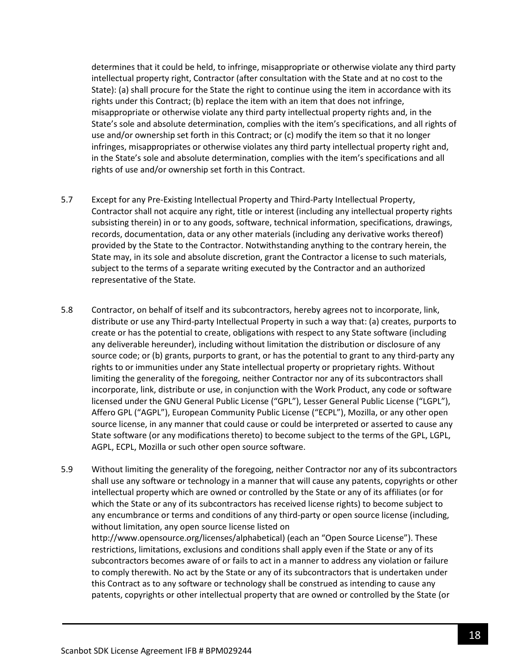determines that it could be held, to infringe, misappropriate or otherwise violate any third party intellectual property right, Contractor (after consultation with the State and at no cost to the State): (a) shall procure for the State the right to continue using the item in accordance with its rights under this Contract; (b) replace the item with an item that does not infringe, misappropriate or otherwise violate any third party intellectual property rights and, in the State's sole and absolute determination, complies with the item's specifications, and all rights of use and/or ownership set forth in this Contract; or (c) modify the item so that it no longer infringes, misappropriates or otherwise violates any third party intellectual property right and, in the State's sole and absolute determination, complies with the item's specifications and all rights of use and/or ownership set forth in this Contract.

- 5.7 Except for any Pre-Existing Intellectual Property and Third-Party Intellectual Property, Contractor shall not acquire any right, title or interest (including any intellectual property rights subsisting therein) in or to any goods, software, technical information, specifications, drawings, records, documentation, data or any other materials (including any derivative works thereof) provided by the State to the Contractor. Notwithstanding anything to the contrary herein, the State may, in its sole and absolute discretion, grant the Contractor a license to such materials, subject to the terms of a separate writing executed by the Contractor and an authorized representative of the State.
- 5.8 Contractor, on behalf of itself and its subcontractors, hereby agrees not to incorporate, link, distribute or use any Third-party Intellectual Property in such a way that: (a) creates, purports to create or has the potential to create, obligations with respect to any State software (including any deliverable hereunder), including without limitation the distribution or disclosure of any source code; or (b) grants, purports to grant, or has the potential to grant to any third-party any rights to or immunities under any State intellectual property or proprietary rights. Without limiting the generality of the foregoing, neither Contractor nor any of its subcontractors shall incorporate, link, distribute or use, in conjunction with the Work Product, any code or software licensed under the GNU General Public License ("GPL"), Lesser General Public License ("LGPL"), Affero GPL ("AGPL"), European Community Public License ("ECPL"), Mozilla, or any other open source license, in any manner that could cause or could be interpreted or asserted to cause any State software (or any modifications thereto) to become subject to the terms of the GPL, LGPL, AGPL, ECPL, Mozilla or such other open source software.
- 5.9 Without limiting the generality of the foregoing, neither Contractor nor any of its subcontractors shall use any software or technology in a manner that will cause any patents, copyrights or other intellectual property which are owned or controlled by the State or any of its affiliates (or for which the State or any of its subcontractors has received license rights) to become subject to any encumbrance or terms and conditions of any third-party or open source license (including, without limitation, any open source license listed on http://www.opensource.org/licenses/alphabetical) (each an "Open Source License"). These restrictions, limitations, exclusions and conditions shall apply even if the State or any of its subcontractors becomes aware of or fails to act in a manner to address any violation or failure to comply therewith. No act by the State or any of its subcontractors that is undertaken under this Contract as to any software or technology shall be construed as intending to cause any patents, copyrights or other intellectual property that are owned or controlled by the State (or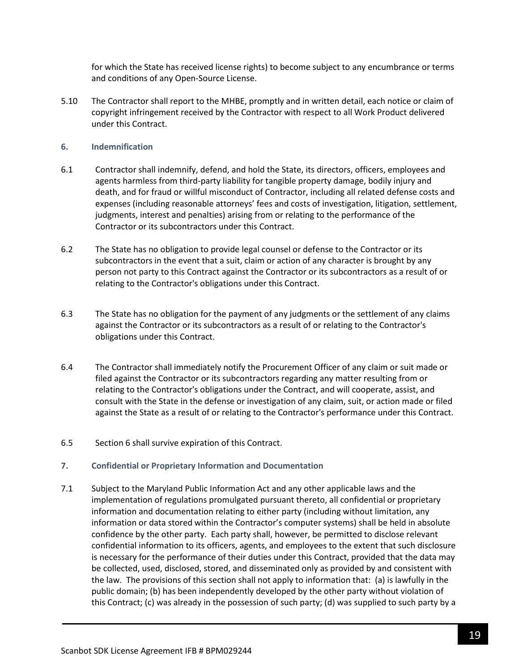for which the State has received license rights) to become subject to any encumbrance or terms and conditions of any Open-Source License.

5.10 The Contractor shall report to the MHBE, promptly and in written detail, each notice or claim of copyright infringement received by the Contractor with respect to all Work Product delivered under this Contract.

#### **6. Indemnification**

- 6.1 Contractor shall indemnify, defend, and hold the State, its directors, officers, employees and agents harmless from third-party liability for tangible property damage, bodily injury and death, and for fraud or willful misconduct of Contractor, including all related defense costs and expenses (including reasonable attorneys' fees and costs of investigation, litigation, settlement, judgments, interest and penalties) arising from or relating to the performance of the Contractor or its subcontractors under this Contract.
- 6.2 The State has no obligation to provide legal counsel or defense to the Contractor or its subcontractors in the event that a suit, claim or action of any character is brought by any person not party to this Contract against the Contractor or its subcontractors as a result of or relating to the Contractor's obligations under this Contract.
- 6.3 The State has no obligation for the payment of any judgments or the settlement of any claims against the Contractor or its subcontractors as a result of or relating to the Contractor's obligations under this Contract.
- 6.4 The Contractor shall immediately notify the Procurement Officer of any claim or suit made or filed against the Contractor or its subcontractors regarding any matter resulting from or relating to the Contractor's obligations under the Contract, and will cooperate, assist, and consult with the State in the defense or investigation of any claim, suit, or action made or filed against the State as a result of or relating to the Contractor's performance under this Contract.
- 6.5 Section 6 shall survive expiration of this Contract.

#### **7. Confidential or Proprietary Information and Documentation**

7.1 Subject to the Maryland Public Information Act and any other applicable laws and the implementation of regulations promulgated pursuant thereto, all confidential or proprietary information and documentation relating to either party (including without limitation, any information or data stored within the Contractor's computer systems) shall be held in absolute confidence by the other party. Each party shall, however, be permitted to disclose relevant confidential information to its officers, agents, and employees to the extent that such disclosure is necessary for the performance of their duties under this Contract, provided that the data may be collected, used, disclosed, stored, and disseminated only as provided by and consistent with the law. The provisions of this section shall not apply to information that: (a) is lawfully in the public domain; (b) has been independently developed by the other party without violation of this Contract; (c) was already in the possession of such party; (d) was supplied to such party by a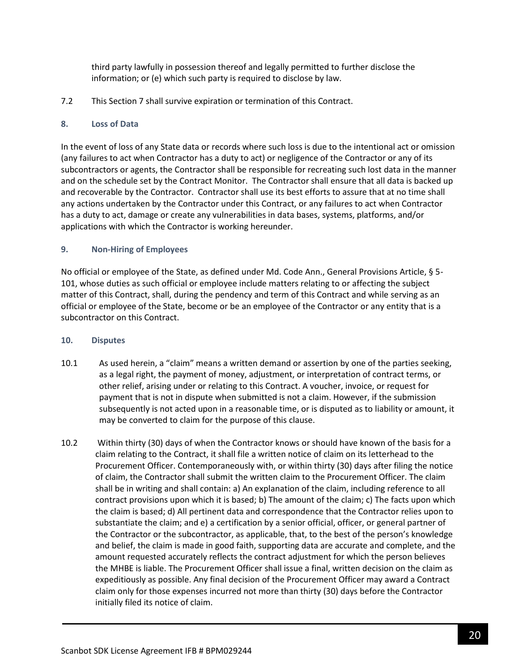third party lawfully in possession thereof and legally permitted to further disclose the information; or (e) which such party is required to disclose by law.

7.2 This Section 7 shall survive expiration or termination of this Contract.

## **8. Loss of Data**

In the event of loss of any State data or records where such loss is due to the intentional act or omission (any failures to act when Contractor has a duty to act) or negligence of the Contractor or any of its subcontractors or agents, the Contractor shall be responsible for recreating such lost data in the manner and on the schedule set by the Contract Monitor. The Contractor shall ensure that all data is backed up and recoverable by the Contractor. Contractor shall use its best efforts to assure that at no time shall any actions undertaken by the Contractor under this Contract, or any failures to act when Contractor has a duty to act, damage or create any vulnerabilities in data bases, systems, platforms, and/or applications with which the Contractor is working hereunder.

## **9. Non-Hiring of Employees**

No official or employee of the State, as defined under Md. Code Ann., General Provisions Article, § 5- 101, whose duties as such official or employee include matters relating to or affecting the subject matter of this Contract, shall, during the pendency and term of this Contract and while serving as an official or employee of the State, become or be an employee of the Contractor or any entity that is a subcontractor on this Contract.

### **10. Disputes**

- 10.1 As used herein, a "claim" means a written demand or assertion by one of the parties seeking, as a legal right, the payment of money, adjustment, or interpretation of contract terms, or other relief, arising under or relating to this Contract. A voucher, invoice, or request for payment that is not in dispute when submitted is not a claim. However, if the submission subsequently is not acted upon in a reasonable time, or is disputed as to liability or amount, it may be converted to claim for the purpose of this clause.
- 10.2 Within thirty (30) days of when the Contractor knows or should have known of the basis for a claim relating to the Contract, it shall file a written notice of claim on its letterhead to the Procurement Officer. Contemporaneously with, or within thirty (30) days after filing the notice of claim, the Contractor shall submit the written claim to the Procurement Officer. The claim shall be in writing and shall contain: a) An explanation of the claim, including reference to all contract provisions upon which it is based; b) The amount of the claim; c) The facts upon which the claim is based; d) All pertinent data and correspondence that the Contractor relies upon to substantiate the claim; and e) a certification by a senior official, officer, or general partner of the Contractor or the subcontractor, as applicable, that, to the best of the person's knowledge and belief, the claim is made in good faith, supporting data are accurate and complete, and the amount requested accurately reflects the contract adjustment for which the person believes the MHBE is liable. The Procurement Officer shall issue a final, written decision on the claim as expeditiously as possible. Any final decision of the Procurement Officer may award a Contract claim only for those expenses incurred not more than thirty (30) days before the Contractor initially filed its notice of claim.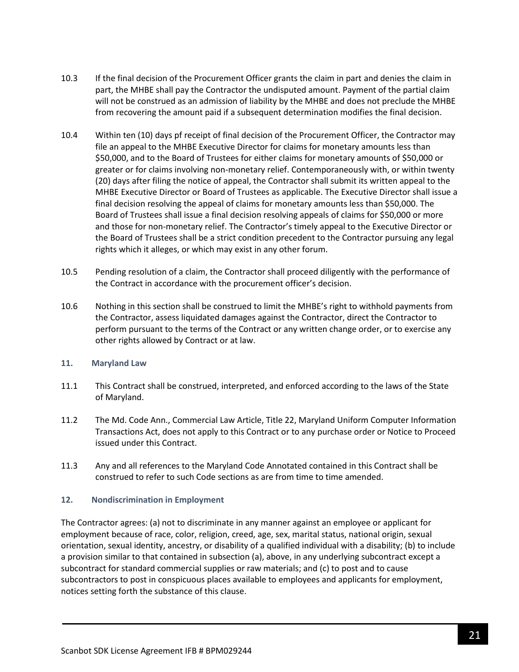- 10.3 If the final decision of the Procurement Officer grants the claim in part and denies the claim in part, the MHBE shall pay the Contractor the undisputed amount. Payment of the partial claim will not be construed as an admission of liability by the MHBE and does not preclude the MHBE from recovering the amount paid if a subsequent determination modifies the final decision.
- 10.4 Within ten (10) days pf receipt of final decision of the Procurement Officer, the Contractor may file an appeal to the MHBE Executive Director for claims for monetary amounts less than \$50,000, and to the Board of Trustees for either claims for monetary amounts of \$50,000 or greater or for claims involving non-monetary relief. Contemporaneously with, or within twenty (20) days after filing the notice of appeal, the Contractor shall submit its written appeal to the MHBE Executive Director or Board of Trustees as applicable. The Executive Director shall issue a final decision resolving the appeal of claims for monetary amounts less than \$50,000. The Board of Trustees shall issue a final decision resolving appeals of claims for \$50,000 or more and those for non-monetary relief. The Contractor's timely appeal to the Executive Director or the Board of Trustees shall be a strict condition precedent to the Contractor pursuing any legal rights which it alleges, or which may exist in any other forum.
- 10.5 Pending resolution of a claim, the Contractor shall proceed diligently with the performance of the Contract in accordance with the procurement officer's decision.
- 10.6 Nothing in this section shall be construed to limit the MHBE's right to withhold payments from the Contractor, assess liquidated damages against the Contractor, direct the Contractor to perform pursuant to the terms of the Contract or any written change order, or to exercise any other rights allowed by Contract or at law.

### **11. Maryland Law**

- 11.1 This Contract shall be construed, interpreted, and enforced according to the laws of the State of Maryland.
- 11.2 The Md. Code Ann., Commercial Law Article, Title 22, Maryland Uniform Computer Information Transactions Act, does not apply to this Contract or to any purchase order or Notice to Proceed issued under this Contract.
- 11.3 Any and all references to the Maryland Code Annotated contained in this Contract shall be construed to refer to such Code sections as are from time to time amended.

### **12. Nondiscrimination in Employment**

The Contractor agrees: (a) not to discriminate in any manner against an employee or applicant for employment because of race, color, religion, creed, age, sex, marital status, national origin, sexual orientation, sexual identity, ancestry, or disability of a qualified individual with a disability; (b) to include a provision similar to that contained in subsection (a), above, in any underlying subcontract except a subcontract for standard commercial supplies or raw materials; and (c) to post and to cause subcontractors to post in conspicuous places available to employees and applicants for employment, notices setting forth the substance of this clause.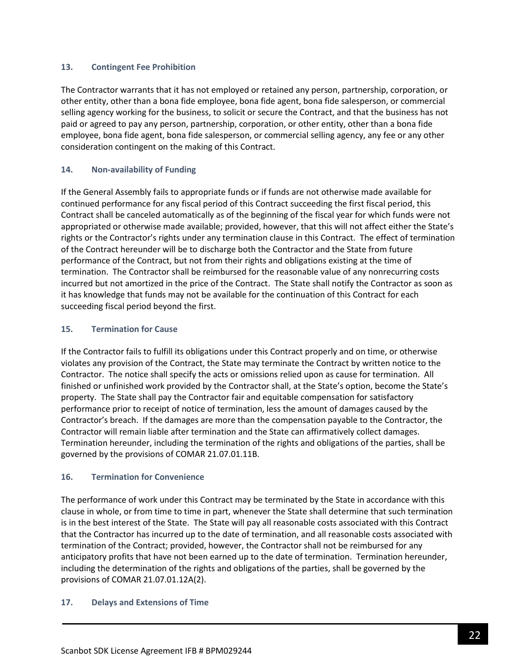### **13. Contingent Fee Prohibition**

The Contractor warrants that it has not employed or retained any person, partnership, corporation, or other entity, other than a bona fide employee, bona fide agent, bona fide salesperson, or commercial selling agency working for the business, to solicit or secure the Contract, and that the business has not paid or agreed to pay any person, partnership, corporation, or other entity, other than a bona fide employee, bona fide agent, bona fide salesperson, or commercial selling agency, any fee or any other consideration contingent on the making of this Contract.

## **14. Non-availability of Funding**

If the General Assembly fails to appropriate funds or if funds are not otherwise made available for continued performance for any fiscal period of this Contract succeeding the first fiscal period, this Contract shall be canceled automatically as of the beginning of the fiscal year for which funds were not appropriated or otherwise made available; provided, however, that this will not affect either the State's rights or the Contractor's rights under any termination clause in this Contract. The effect of termination of the Contract hereunder will be to discharge both the Contractor and the State from future performance of the Contract, but not from their rights and obligations existing at the time of termination. The Contractor shall be reimbursed for the reasonable value of any nonrecurring costs incurred but not amortized in the price of the Contract. The State shall notify the Contractor as soon as it has knowledge that funds may not be available for the continuation of this Contract for each succeeding fiscal period beyond the first.

## **15. Termination for Cause**

If the Contractor fails to fulfill its obligations under this Contract properly and on time, or otherwise violates any provision of the Contract, the State may terminate the Contract by written notice to the Contractor. The notice shall specify the acts or omissions relied upon as cause for termination. All finished or unfinished work provided by the Contractor shall, at the State's option, become the State's property. The State shall pay the Contractor fair and equitable compensation for satisfactory performance prior to receipt of notice of termination, less the amount of damages caused by the Contractor's breach. If the damages are more than the compensation payable to the Contractor, the Contractor will remain liable after termination and the State can affirmatively collect damages. Termination hereunder, including the termination of the rights and obligations of the parties, shall be governed by the provisions of COMAR 21.07.01.11B.

### **16. Termination for Convenience**

The performance of work under this Contract may be terminated by the State in accordance with this clause in whole, or from time to time in part, whenever the State shall determine that such termination is in the best interest of the State. The State will pay all reasonable costs associated with this Contract that the Contractor has incurred up to the date of termination, and all reasonable costs associated with termination of the Contract; provided, however, the Contractor shall not be reimbursed for any anticipatory profits that have not been earned up to the date of termination. Termination hereunder, including the determination of the rights and obligations of the parties, shall be governed by the provisions of COMAR 21.07.01.12A(2).

### **17. Delays and Extensions of Time**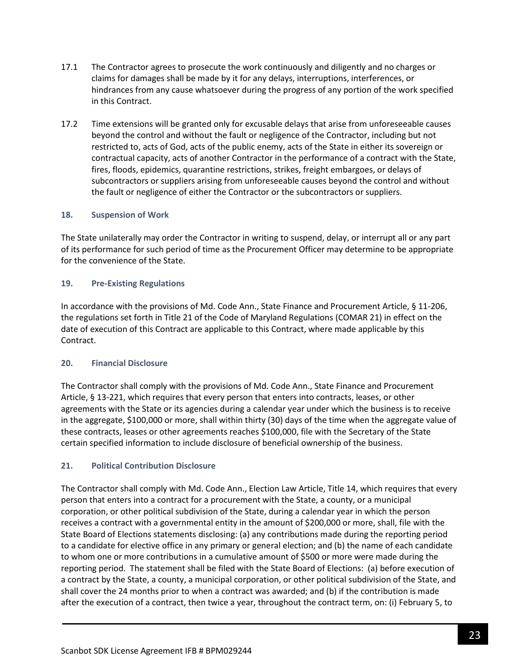- 17.1 The Contractor agrees to prosecute the work continuously and diligently and no charges or claims for damages shall be made by it for any delays, interruptions, interferences, or hindrances from any cause whatsoever during the progress of any portion of the work specified in this Contract.
- 17.2 Time extensions will be granted only for excusable delays that arise from unforeseeable causes beyond the control and without the fault or negligence of the Contractor, including but not restricted to, acts of God, acts of the public enemy, acts of the State in either its sovereign or contractual capacity, acts of another Contractor in the performance of a contract with the State, fires, floods, epidemics, quarantine restrictions, strikes, freight embargoes, or delays of subcontractors or suppliers arising from unforeseeable causes beyond the control and without the fault or negligence of either the Contractor or the subcontractors or suppliers.

## **18. Suspension of Work**

The State unilaterally may order the Contractor in writing to suspend, delay, or interrupt all or any part of its performance for such period of time as the Procurement Officer may determine to be appropriate for the convenience of the State.

## **19. Pre-Existing Regulations**

In accordance with the provisions of Md. Code Ann., State Finance and Procurement Article, § 11-206, the regulations set forth in Title 21 of the Code of Maryland Regulations (COMAR 21) in effect on the date of execution of this Contract are applicable to this Contract, where made applicable by this Contract.

### **20. Financial Disclosure**

The Contractor shall comply with the provisions of Md. Code Ann., State Finance and Procurement Article, § 13-221, which requires that every person that enters into contracts, leases, or other agreements with the State or its agencies during a calendar year under which the business is to receive in the aggregate, \$100,000 or more, shall within thirty (30) days of the time when the aggregate value of these contracts, leases or other agreements reaches \$100,000, file with the Secretary of the State certain specified information to include disclosure of beneficial ownership of the business.

### **21. Political Contribution Disclosure**

The Contractor shall comply with Md. Code Ann., Election Law Article, Title 14, which requires that every person that enters into a contract for a procurement with the State, a county, or a municipal corporation, or other political subdivision of the State, during a calendar year in which the person receives a contract with a governmental entity in the amount of \$200,000 or more, shall, file with the State Board of Elections statements disclosing: (a) any contributions made during the reporting period to a candidate for elective office in any primary or general election; and (b) the name of each candidate to whom one or more contributions in a cumulative amount of \$500 or more were made during the reporting period. The statement shall be filed with the State Board of Elections: (a) before execution of a contract by the State, a county, a municipal corporation, or other political subdivision of the State, and shall cover the 24 months prior to when a contract was awarded; and (b) if the contribution is made after the execution of a contract, then twice a year, throughout the contract term, on: (i) February 5, to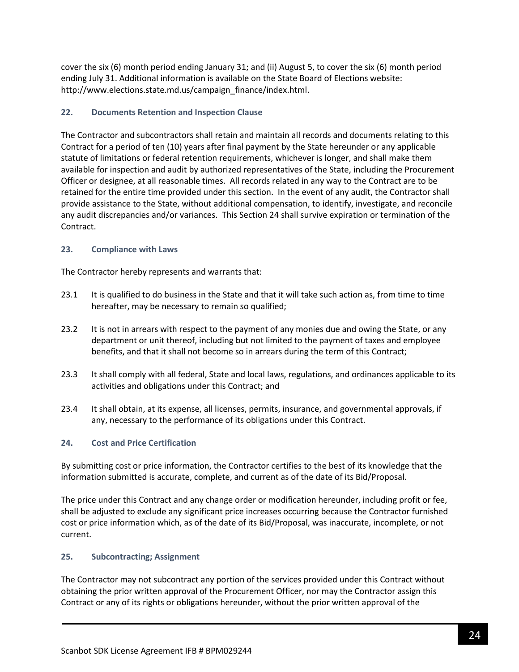cover the six (6) month period ending January 31; and (ii) August 5, to cover the six (6) month period ending July 31. Additional information is available on the State Board of Elections website: http://www.elections.state.md.us/campaign\_finance/index.html.

## **22. Documents Retention and Inspection Clause**

The Contractor and subcontractors shall retain and maintain all records and documents relating to this Contract for a period of ten (10) years after final payment by the State hereunder or any applicable statute of limitations or federal retention requirements, whichever is longer, and shall make them available for inspection and audit by authorized representatives of the State, including the Procurement Officer or designee, at all reasonable times. All records related in any way to the Contract are to be retained for the entire time provided under this section. In the event of any audit, the Contractor shall provide assistance to the State, without additional compensation, to identify, investigate, and reconcile any audit discrepancies and/or variances. This Section 24 shall survive expiration or termination of the Contract.

## **23. Compliance with Laws**

The Contractor hereby represents and warrants that:

- 23.1 It is qualified to do business in the State and that it will take such action as, from time to time hereafter, may be necessary to remain so qualified;
- 23.2 It is not in arrears with respect to the payment of any monies due and owing the State, or any department or unit thereof, including but not limited to the payment of taxes and employee benefits, and that it shall not become so in arrears during the term of this Contract;
- 23.3 It shall comply with all federal, State and local laws, regulations, and ordinances applicable to its activities and obligations under this Contract; and
- 23.4 It shall obtain, at its expense, all licenses, permits, insurance, and governmental approvals, if any, necessary to the performance of its obligations under this Contract.

## **24. Cost and Price Certification**

By submitting cost or price information, the Contractor certifies to the best of its knowledge that the information submitted is accurate, complete, and current as of the date of its Bid/Proposal.

The price under this Contract and any change order or modification hereunder, including profit or fee, shall be adjusted to exclude any significant price increases occurring because the Contractor furnished cost or price information which, as of the date of its Bid/Proposal, was inaccurate, incomplete, or not current.

## **25. Subcontracting; Assignment**

The Contractor may not subcontract any portion of the services provided under this Contract without obtaining the prior written approval of the Procurement Officer, nor may the Contractor assign this Contract or any of its rights or obligations hereunder, without the prior written approval of the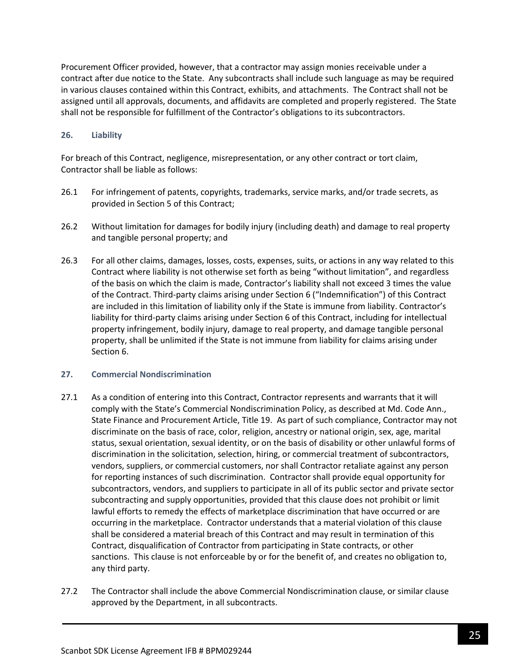Procurement Officer provided, however, that a contractor may assign monies receivable under a contract after due notice to the State. Any subcontracts shall include such language as may be required in various clauses contained within this Contract, exhibits, and attachments. The Contract shall not be assigned until all approvals, documents, and affidavits are completed and properly registered. The State shall not be responsible for fulfillment of the Contractor's obligations to its subcontractors.

## **26. Liability**

For breach of this Contract, negligence, misrepresentation, or any other contract or tort claim, Contractor shall be liable as follows:

- 26.1 For infringement of patents, copyrights, trademarks, service marks, and/or trade secrets, as provided in Section 5 of this Contract;
- 26.2 Without limitation for damages for bodily injury (including death) and damage to real property and tangible personal property; and
- 26.3 For all other claims, damages, losses, costs, expenses, suits, or actions in any way related to this Contract where liability is not otherwise set forth as being "without limitation", and regardless of the basis on which the claim is made, Contractor's liability shall not exceed 3 times the value of the Contract. Third-party claims arising under Section 6 ("Indemnification") of this Contract are included in this limitation of liability only if the State is immune from liability. Contractor's liability for third-party claims arising under Section 6 of this Contract, including for intellectual property infringement, bodily injury, damage to real property, and damage tangible personal property, shall be unlimited if the State is not immune from liability for claims arising under Section 6.

### **27. Commercial Nondiscrimination**

- 27.1 As a condition of entering into this Contract, Contractor represents and warrants that it will comply with the State's Commercial Nondiscrimination Policy, as described at Md. Code Ann., State Finance and Procurement Article, Title 19. As part of such compliance, Contractor may not discriminate on the basis of race, color, religion, ancestry or national origin, sex, age, marital status, sexual orientation, sexual identity, or on the basis of disability or other unlawful forms of discrimination in the solicitation, selection, hiring, or commercial treatment of subcontractors, vendors, suppliers, or commercial customers, nor shall Contractor retaliate against any person for reporting instances of such discrimination. Contractor shall provide equal opportunity for subcontractors, vendors, and suppliers to participate in all of its public sector and private sector subcontracting and supply opportunities, provided that this clause does not prohibit or limit lawful efforts to remedy the effects of marketplace discrimination that have occurred or are occurring in the marketplace. Contractor understands that a material violation of this clause shall be considered a material breach of this Contract and may result in termination of this Contract, disqualification of Contractor from participating in State contracts, or other sanctions. This clause is not enforceable by or for the benefit of, and creates no obligation to, any third party.
- 27.2 The Contractor shall include the above Commercial Nondiscrimination clause, or similar clause approved by the Department, in all subcontracts.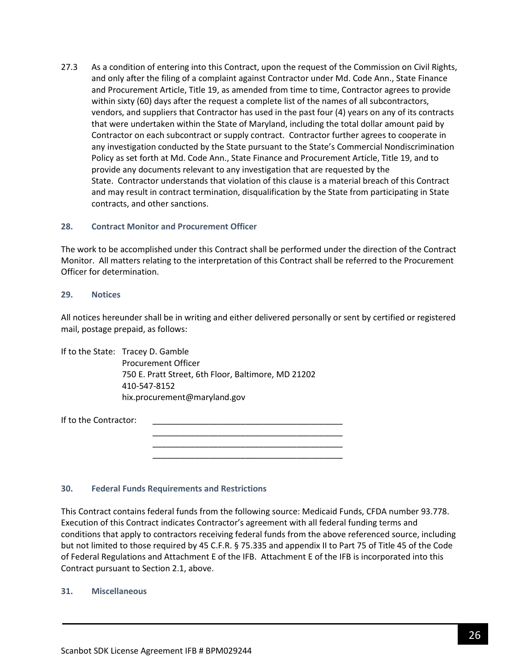27.3 As a condition of entering into this Contract, upon the request of the Commission on Civil Rights, and only after the filing of a complaint against Contractor under Md. Code Ann., State Finance and Procurement Article, Title 19, as amended from time to time, Contractor agrees to provide within sixty (60) days after the request a complete list of the names of all subcontractors, vendors, and suppliers that Contractor has used in the past four (4) years on any of its contracts that were undertaken within the State of Maryland, including the total dollar amount paid by Contractor on each subcontract or supply contract. Contractor further agrees to cooperate in any investigation conducted by the State pursuant to the State's Commercial Nondiscrimination Policy as set forth at Md. Code Ann., State Finance and Procurement Article, Title 19, and to provide any documents relevant to any investigation that are requested by the State. Contractor understands that violation of this clause is a material breach of this Contract and may result in contract termination, disqualification by the State from participating in State contracts, and other sanctions.

#### **28. Contract Monitor and Procurement Officer**

The work to be accomplished under this Contract shall be performed under the direction of the Contract Monitor. All matters relating to the interpretation of this Contract shall be referred to the Procurement Officer for determination.

#### **29. Notices**

All notices hereunder shall be in writing and either delivered personally or sent by certified or registered mail, postage prepaid, as follows:

> \_\_\_\_\_\_\_\_\_\_\_\_\_\_\_\_\_\_\_\_\_\_\_\_\_\_\_\_\_\_\_\_\_\_\_\_\_\_\_\_\_ \_\_\_\_\_\_\_\_\_\_\_\_\_\_\_\_\_\_\_\_\_\_\_\_\_\_\_\_\_\_\_\_\_\_\_\_\_\_\_\_\_ \_\_\_\_\_\_\_\_\_\_\_\_\_\_\_\_\_\_\_\_\_\_\_\_\_\_\_\_\_\_\_\_\_\_\_\_\_\_\_\_\_

If to the State: Tracey D. Gamble Procurement Officer 750 E. Pratt Street, 6th Floor, Baltimore, MD 21202 410-547-8152 hix.procurement@maryland.gov

If to the Contractor:

#### **30. Federal Funds Requirements and Restrictions**

This Contract contains federal funds from the following source: Medicaid Funds, CFDA number 93.778. Execution of this Contract indicates Contractor's agreement with all federal funding terms and conditions that apply to contractors receiving federal funds from the above referenced source, including but not limited to those required by 45 C.F.R. § 75.335 and appendix II to Part 75 of Title 45 of the Code of Federal Regulations and Attachment E of the IFB. Attachment E of the IFB is incorporated into this Contract pursuant to Section 2.1, above.

#### **31. Miscellaneous**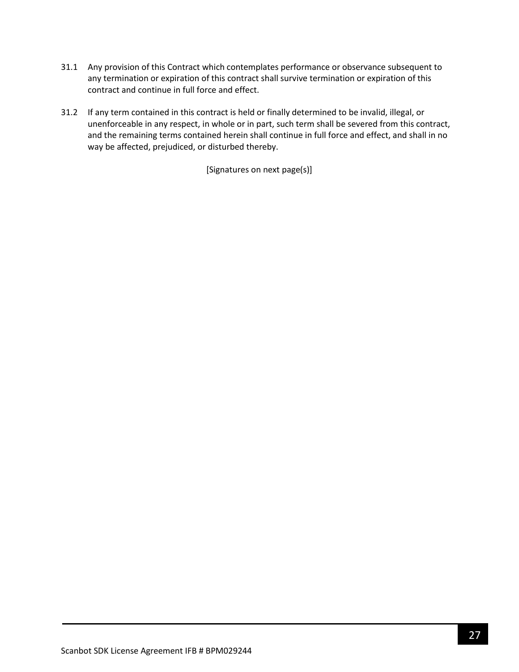- 31.1 Any provision of this Contract which contemplates performance or observance subsequent to any termination or expiration of this contract shall survive termination or expiration of this contract and continue in full force and effect.
- 31.2 If any term contained in this contract is held or finally determined to be invalid, illegal, or unenforceable in any respect, in whole or in part, such term shall be severed from this contract, and the remaining terms contained herein shall continue in full force and effect, and shall in no way be affected, prejudiced, or disturbed thereby.

[Signatures on next page(s)]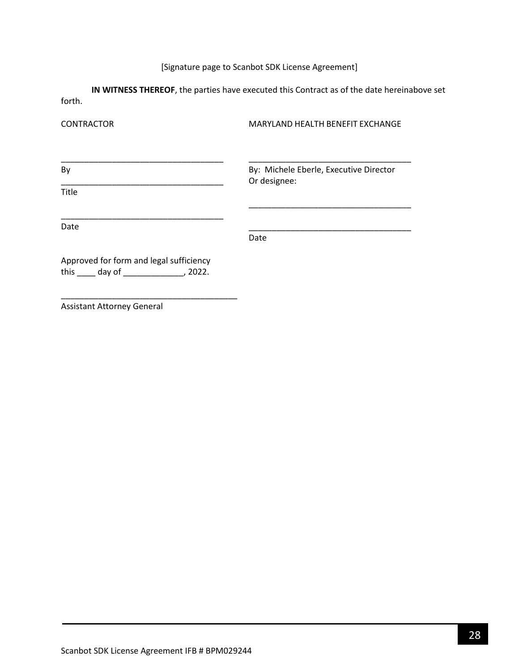# [Signature page to Scanbot SDK License Agreement]

**IN WITNESS THEREOF**, the parties have executed this Contract as of the date hereinabove set forth.

| <b>CONTRACTOR</b>                                                                              | MARYLAND HEALTH BENEFIT EXCHANGE                       |  |  |
|------------------------------------------------------------------------------------------------|--------------------------------------------------------|--|--|
| By                                                                                             | By: Michele Eberle, Executive Director<br>Or designee: |  |  |
| <b>Title</b>                                                                                   |                                                        |  |  |
| Date                                                                                           | Date                                                   |  |  |
| Approved for form and legal sufficiency<br>this $\qquad \qquad$ day of $\qquad \qquad$ , 2022. |                                                        |  |  |

Assistant Attorney General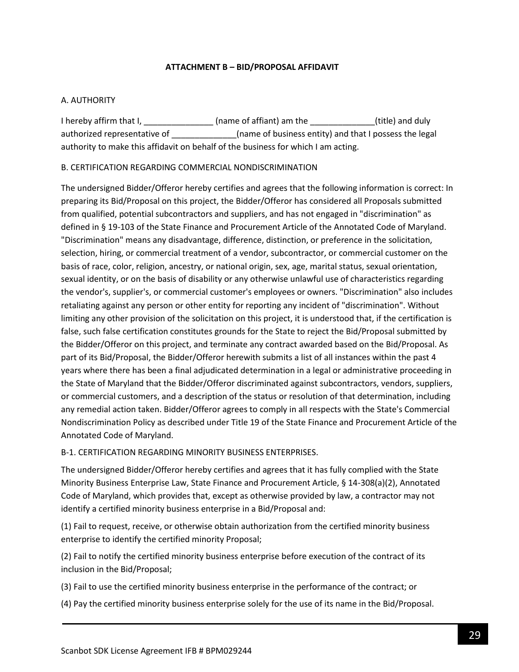## **ATTACHMENT B – BID/PROPOSAL AFFIDAVIT**

## <span id="page-28-0"></span>A. AUTHORITY

I hereby affirm that I, \_\_\_\_\_\_\_\_\_\_\_\_\_\_\_\_\_\_(name of affiant) am the \_\_\_\_\_\_\_\_\_\_\_\_\_\_(title) and duly authorized representative of \_\_\_\_\_\_\_\_\_\_\_\_\_(name of business entity) and that I possess the legal authority to make this affidavit on behalf of the business for which I am acting.

## B. CERTIFICATION REGARDING COMMERCIAL NONDISCRIMINATION

The undersigned Bidder/Offeror hereby certifies and agrees that the following information is correct: In preparing its Bid/Proposal on this project, the Bidder/Offeror has considered all Proposals submitted from qualified, potential subcontractors and suppliers, and has not engaged in "discrimination" as defined in § 19-103 of the State Finance and Procurement Article of the Annotated Code of Maryland. "Discrimination" means any disadvantage, difference, distinction, or preference in the solicitation, selection, hiring, or commercial treatment of a vendor, subcontractor, or commercial customer on the basis of race, color, religion, ancestry, or national origin, sex, age, marital status, sexual orientation, sexual identity, or on the basis of disability or any otherwise unlawful use of characteristics regarding the vendor's, supplier's, or commercial customer's employees or owners. "Discrimination" also includes retaliating against any person or other entity for reporting any incident of "discrimination". Without limiting any other provision of the solicitation on this project, it is understood that, if the certification is false, such false certification constitutes grounds for the State to reject the Bid/Proposal submitted by the Bidder/Offeror on this project, and terminate any contract awarded based on the Bid/Proposal. As part of its Bid/Proposal, the Bidder/Offeror herewith submits a list of all instances within the past 4 years where there has been a final adjudicated determination in a legal or administrative proceeding in the State of Maryland that the Bidder/Offeror discriminated against subcontractors, vendors, suppliers, or commercial customers, and a description of the status or resolution of that determination, including any remedial action taken. Bidder/Offeror agrees to comply in all respects with the State's Commercial Nondiscrimination Policy as described under Title 19 of the State Finance and Procurement Article of the Annotated Code of Maryland.

### B-1. CERTIFICATION REGARDING MINORITY BUSINESS ENTERPRISES.

The undersigned Bidder/Offeror hereby certifies and agrees that it has fully complied with the State Minority Business Enterprise Law, State Finance and Procurement Article, § 14-308(a)(2), Annotated Code of Maryland, which provides that, except as otherwise provided by law, a contractor may not identify a certified minority business enterprise in a Bid/Proposal and:

(1) Fail to request, receive, or otherwise obtain authorization from the certified minority business enterprise to identify the certified minority Proposal;

(2) Fail to notify the certified minority business enterprise before execution of the contract of its inclusion in the Bid/Proposal;

(3) Fail to use the certified minority business enterprise in the performance of the contract; or

(4) Pay the certified minority business enterprise solely for the use of its name in the Bid/Proposal.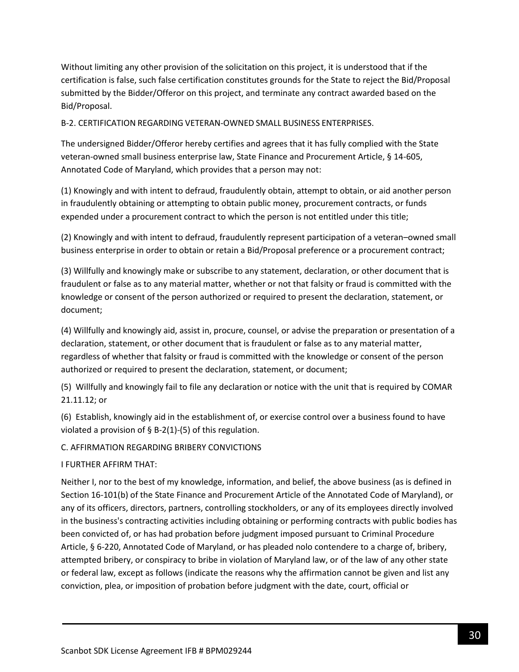Without limiting any other provision of the solicitation on this project, it is understood that if the certification is false, such false certification constitutes grounds for the State to reject the Bid/Proposal submitted by the Bidder/Offeror on this project, and terminate any contract awarded based on the Bid/Proposal.

B-2. CERTIFICATION REGARDING VETERAN-OWNED SMALL BUSINESS ENTERPRISES.

The undersigned Bidder/Offeror hereby certifies and agrees that it has fully complied with the State veteran-owned small business enterprise law, State Finance and Procurement Article, § 14-605, Annotated Code of Maryland, which provides that a person may not:

(1) Knowingly and with intent to defraud, fraudulently obtain, attempt to obtain, or aid another person in fraudulently obtaining or attempting to obtain public money, procurement contracts, or funds expended under a procurement contract to which the person is not entitled under this title;

(2) Knowingly and with intent to defraud, fraudulently represent participation of a veteran–owned small business enterprise in order to obtain or retain a Bid/Proposal preference or a procurement contract;

(3) Willfully and knowingly make or subscribe to any statement, declaration, or other document that is fraudulent or false as to any material matter, whether or not that falsity or fraud is committed with the knowledge or consent of the person authorized or required to present the declaration, statement, or document;

(4) Willfully and knowingly aid, assist in, procure, counsel, or advise the preparation or presentation of a declaration, statement, or other document that is fraudulent or false as to any material matter, regardless of whether that falsity or fraud is committed with the knowledge or consent of the person authorized or required to present the declaration, statement, or document;

(5) Willfully and knowingly fail to file any declaration or notice with the unit that is required by COMAR 21.11.12; or

(6) Establish, knowingly aid in the establishment of, or exercise control over a business found to have violated a provision of  $\S$  B-2(1)-(5) of this regulation.

C. AFFIRMATION REGARDING BRIBERY CONVICTIONS

I FURTHER AFFIRM THAT:

Neither I, nor to the best of my knowledge, information, and belief, the above business (as is defined in Section 16-101(b) of the State Finance and Procurement Article of the Annotated Code of Maryland), or any of its officers, directors, partners, controlling stockholders, or any of its employees directly involved in the business's contracting activities including obtaining or performing contracts with public bodies has been convicted of, or has had probation before judgment imposed pursuant to Criminal Procedure Article, § 6-220, Annotated Code of Maryland, or has pleaded nolo contendere to a charge of, bribery, attempted bribery, or conspiracy to bribe in violation of Maryland law, or of the law of any other state or federal law, except as follows (indicate the reasons why the affirmation cannot be given and list any conviction, plea, or imposition of probation before judgment with the date, court, official or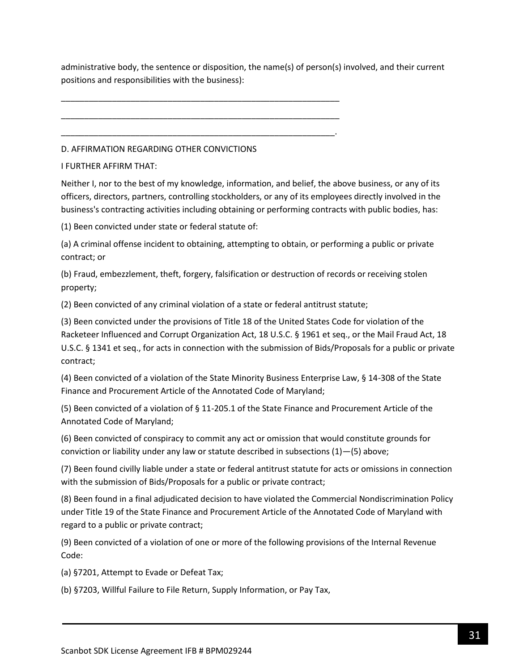administrative body, the sentence or disposition, the name(s) of person(s) involved, and their current positions and responsibilities with the business):

D. AFFIRMATION REGARDING OTHER CONVICTIONS

\_\_\_\_\_\_\_\_\_\_\_\_\_\_\_\_\_\_\_\_\_\_\_\_\_\_\_\_\_\_\_\_\_\_\_\_\_\_\_\_\_\_\_\_\_\_\_\_\_\_\_\_\_\_\_\_\_\_\_\_

\_\_\_\_\_\_\_\_\_\_\_\_\_\_\_\_\_\_\_\_\_\_\_\_\_\_\_\_\_\_\_\_\_\_\_\_\_\_\_\_\_\_\_\_\_\_\_\_\_\_\_\_\_\_\_\_\_\_\_\_

\_\_\_\_\_\_\_\_\_\_\_\_\_\_\_\_\_\_\_\_\_\_\_\_\_\_\_\_\_\_\_\_\_\_\_\_\_\_\_\_\_\_\_\_\_\_\_\_\_\_\_\_\_\_\_\_\_\_\_.

I FURTHER AFFIRM THAT:

Neither I, nor to the best of my knowledge, information, and belief, the above business, or any of its officers, directors, partners, controlling stockholders, or any of its employees directly involved in the business's contracting activities including obtaining or performing contracts with public bodies, has:

(1) Been convicted under state or federal statute of:

(a) A criminal offense incident to obtaining, attempting to obtain, or performing a public or private contract; or

(b) Fraud, embezzlement, theft, forgery, falsification or destruction of records or receiving stolen property;

(2) Been convicted of any criminal violation of a state or federal antitrust statute;

(3) Been convicted under the provisions of Title 18 of the United States Code for violation of the Racketeer Influenced and Corrupt Organization Act, 18 U.S.C. § 1961 et seq., or the Mail Fraud Act, 18 U.S.C. § 1341 et seq., for acts in connection with the submission of Bids/Proposals for a public or private contract;

(4) Been convicted of a violation of the State Minority Business Enterprise Law, § 14-308 of the State Finance and Procurement Article of the Annotated Code of Maryland;

(5) Been convicted of a violation of § 11-205.1 of the State Finance and Procurement Article of the Annotated Code of Maryland;

(6) Been convicted of conspiracy to commit any act or omission that would constitute grounds for conviction or liability under any law or statute described in subsections (1)—(5) above;

(7) Been found civilly liable under a state or federal antitrust statute for acts or omissions in connection with the submission of Bids/Proposals for a public or private contract;

(8) Been found in a final adjudicated decision to have violated the Commercial Nondiscrimination Policy under Title 19 of the State Finance and Procurement Article of the Annotated Code of Maryland with regard to a public or private contract;

(9) Been convicted of a violation of one or more of the following provisions of the Internal Revenue Code:

(a) §7201, Attempt to Evade or Defeat Tax;

(b) §7203, Willful Failure to File Return, Supply Information, or Pay Tax,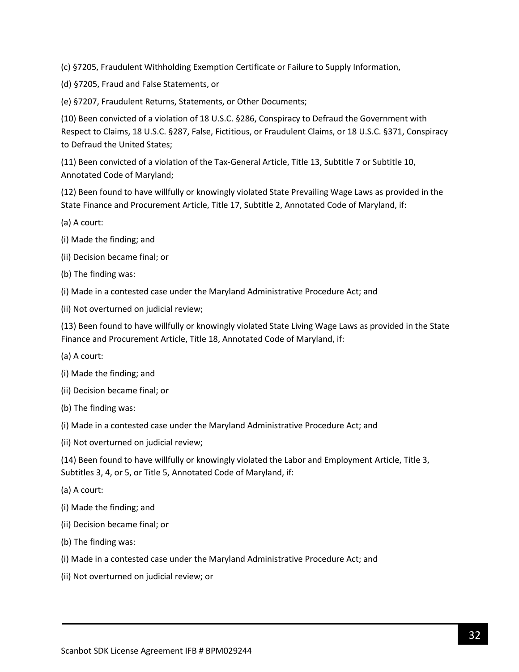(c) §7205, Fraudulent Withholding Exemption Certificate or Failure to Supply Information,

(d) §7205, Fraud and False Statements, or

(e) §7207, Fraudulent Returns, Statements, or Other Documents;

(10) Been convicted of a violation of 18 U.S.C. §286, Conspiracy to Defraud the Government with Respect to Claims, 18 U.S.C. §287, False, Fictitious, or Fraudulent Claims, or 18 U.S.C. §371, Conspiracy to Defraud the United States;

(11) Been convicted of a violation of the Tax-General Article, Title 13, Subtitle 7 or Subtitle 10, Annotated Code of Maryland;

(12) Been found to have willfully or knowingly violated State Prevailing Wage Laws as provided in the State Finance and Procurement Article, Title 17, Subtitle 2, Annotated Code of Maryland, if:

- (a) A court:
- (i) Made the finding; and
- (ii) Decision became final; or
- (b) The finding was:
- (i) Made in a contested case under the Maryland Administrative Procedure Act; and
- (ii) Not overturned on judicial review;

(13) Been found to have willfully or knowingly violated State Living Wage Laws as provided in the State Finance and Procurement Article, Title 18, Annotated Code of Maryland, if:

- (a) A court:
- (i) Made the finding; and
- (ii) Decision became final; or
- (b) The finding was:
- (i) Made in a contested case under the Maryland Administrative Procedure Act; and
- (ii) Not overturned on judicial review;

(14) Been found to have willfully or knowingly violated the Labor and Employment Article, Title 3, Subtitles 3, 4, or 5, or Title 5, Annotated Code of Maryland, if:

- (a) A court:
- (i) Made the finding; and
- (ii) Decision became final; or
- (b) The finding was:
- (i) Made in a contested case under the Maryland Administrative Procedure Act; and
- (ii) Not overturned on judicial review; or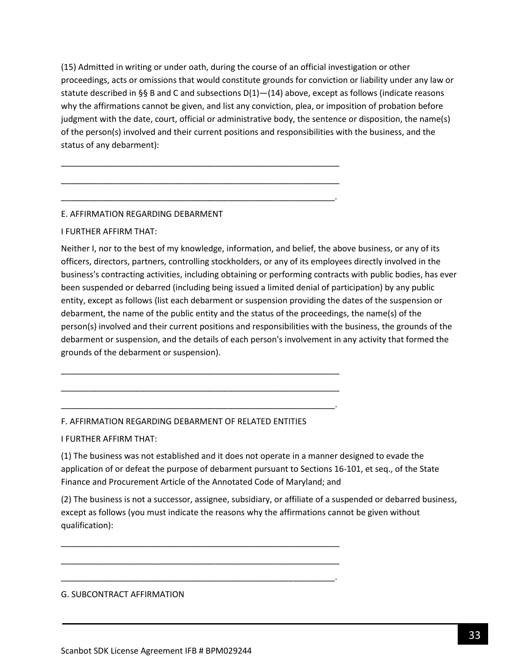(15) Admitted in writing or under oath, during the course of an official investigation or other proceedings, acts or omissions that would constitute grounds for conviction or liability under any law or statute described in §§ B and C and subsections  $D(1)$ — $(14)$  above, except as follows (indicate reasons why the affirmations cannot be given, and list any conviction, plea, or imposition of probation before judgment with the date, court, official or administrative body, the sentence or disposition, the name(s) of the person(s) involved and their current positions and responsibilities with the business, and the status of any debarment):

\_\_\_\_\_\_\_\_\_\_\_\_\_\_\_\_\_\_\_\_\_\_\_\_\_\_\_\_\_\_\_\_\_\_\_\_\_\_\_\_\_\_\_\_\_\_\_\_\_\_\_\_\_\_\_\_\_\_\_\_

\_\_\_\_\_\_\_\_\_\_\_\_\_\_\_\_\_\_\_\_\_\_\_\_\_\_\_\_\_\_\_\_\_\_\_\_\_\_\_\_\_\_\_\_\_\_\_\_\_\_\_\_\_\_\_\_\_\_\_\_

\_\_\_\_\_\_\_\_\_\_\_\_\_\_\_\_\_\_\_\_\_\_\_\_\_\_\_\_\_\_\_\_\_\_\_\_\_\_\_\_\_\_\_\_\_\_\_\_\_\_\_\_\_\_\_\_\_\_\_.

## E. AFFIRMATION REGARDING DEBARMENT

### I FURTHER AFFIRM THAT:

Neither I, nor to the best of my knowledge, information, and belief, the above business, or any of its officers, directors, partners, controlling stockholders, or any of its employees directly involved in the business's contracting activities, including obtaining or performing contracts with public bodies, has ever been suspended or debarred (including being issued a limited denial of participation) by any public entity, except as follows (list each debarment or suspension providing the dates of the suspension or debarment, the name of the public entity and the status of the proceedings, the name(s) of the person(s) involved and their current positions and responsibilities with the business, the grounds of the debarment or suspension, and the details of each person's involvement in any activity that formed the grounds of the debarment or suspension).

### F. AFFIRMATION REGARDING DEBARMENT OF RELATED ENTITIES

\_\_\_\_\_\_\_\_\_\_\_\_\_\_\_\_\_\_\_\_\_\_\_\_\_\_\_\_\_\_\_\_\_\_\_\_\_\_\_\_\_\_\_\_\_\_\_\_\_\_\_\_\_\_\_\_\_\_\_\_

\_\_\_\_\_\_\_\_\_\_\_\_\_\_\_\_\_\_\_\_\_\_\_\_\_\_\_\_\_\_\_\_\_\_\_\_\_\_\_\_\_\_\_\_\_\_\_\_\_\_\_\_\_\_\_\_\_\_\_\_

\_\_\_\_\_\_\_\_\_\_\_\_\_\_\_\_\_\_\_\_\_\_\_\_\_\_\_\_\_\_\_\_\_\_\_\_\_\_\_\_\_\_\_\_\_\_\_\_\_\_\_\_\_\_\_\_\_\_\_.

\_\_\_\_\_\_\_\_\_\_\_\_\_\_\_\_\_\_\_\_\_\_\_\_\_\_\_\_\_\_\_\_\_\_\_\_\_\_\_\_\_\_\_\_\_\_\_\_\_\_\_\_\_\_\_\_\_\_\_\_

\_\_\_\_\_\_\_\_\_\_\_\_\_\_\_\_\_\_\_\_\_\_\_\_\_\_\_\_\_\_\_\_\_\_\_\_\_\_\_\_\_\_\_\_\_\_\_\_\_\_\_\_\_\_\_\_\_\_\_\_

\_\_\_\_\_\_\_\_\_\_\_\_\_\_\_\_\_\_\_\_\_\_\_\_\_\_\_\_\_\_\_\_\_\_\_\_\_\_\_\_\_\_\_\_\_\_\_\_\_\_\_\_\_\_\_\_\_\_\_.

I FURTHER AFFIRM THAT:

(1) The business was not established and it does not operate in a manner designed to evade the application of or defeat the purpose of debarment pursuant to Sections 16-101, et seq., of the State Finance and Procurement Article of the Annotated Code of Maryland; and

(2) The business is not a successor, assignee, subsidiary, or affiliate of a suspended or debarred business, except as follows (you must indicate the reasons why the affirmations cannot be given without qualification):

### G. SUBCONTRACT AFFIRMATION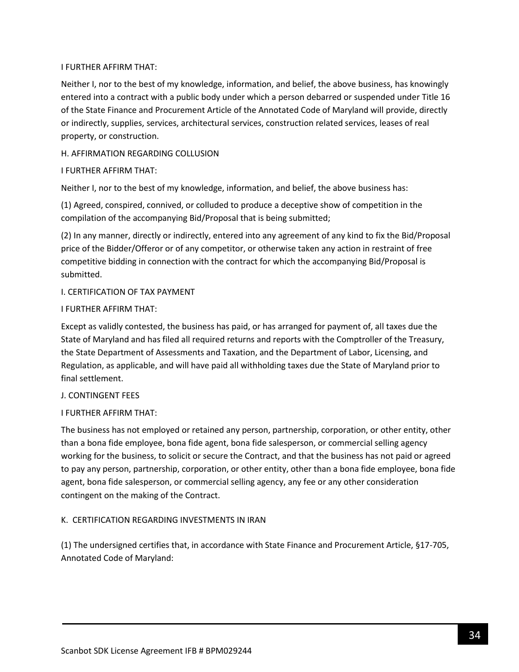## I FURTHER AFFIRM THAT:

Neither I, nor to the best of my knowledge, information, and belief, the above business, has knowingly entered into a contract with a public body under which a person debarred or suspended under Title 16 of the State Finance and Procurement Article of the Annotated Code of Maryland will provide, directly or indirectly, supplies, services, architectural services, construction related services, leases of real property, or construction.

## H. AFFIRMATION REGARDING COLLUSION

## I FURTHER AFFIRM THAT:

Neither I, nor to the best of my knowledge, information, and belief, the above business has:

(1) Agreed, conspired, connived, or colluded to produce a deceptive show of competition in the compilation of the accompanying Bid/Proposal that is being submitted;

(2) In any manner, directly or indirectly, entered into any agreement of any kind to fix the Bid/Proposal price of the Bidder/Offeror or of any competitor, or otherwise taken any action in restraint of free competitive bidding in connection with the contract for which the accompanying Bid/Proposal is submitted.

## I. CERTIFICATION OF TAX PAYMENT

### I FURTHER AFFIRM THAT:

Except as validly contested, the business has paid, or has arranged for payment of, all taxes due the State of Maryland and has filed all required returns and reports with the Comptroller of the Treasury, the State Department of Assessments and Taxation, and the Department of Labor, Licensing, and Regulation, as applicable, and will have paid all withholding taxes due the State of Maryland prior to final settlement.

### J. CONTINGENT FEES

## I FURTHER AFFIRM THAT:

The business has not employed or retained any person, partnership, corporation, or other entity, other than a bona fide employee, bona fide agent, bona fide salesperson, or commercial selling agency working for the business, to solicit or secure the Contract, and that the business has not paid or agreed to pay any person, partnership, corporation, or other entity, other than a bona fide employee, bona fide agent, bona fide salesperson, or commercial selling agency, any fee or any other consideration contingent on the making of the Contract.

## K. CERTIFICATION REGARDING INVESTMENTS IN IRAN

(1) The undersigned certifies that, in accordance with State Finance and Procurement Article, §17-705, Annotated Code of Maryland: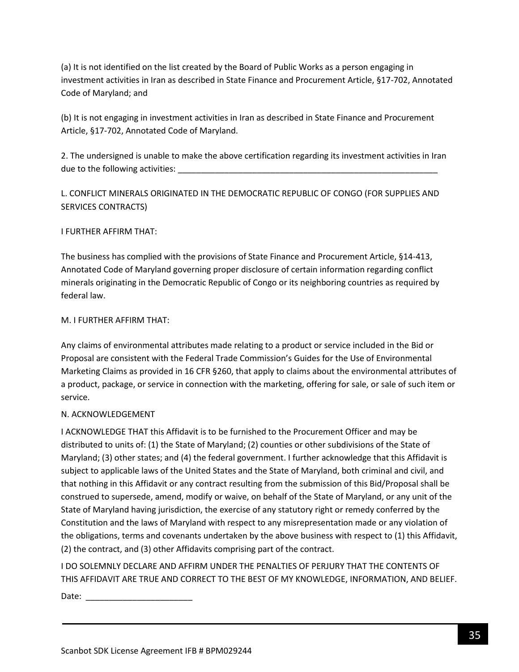(a) It is not identified on the list created by the Board of Public Works as a person engaging in investment activities in Iran as described in State Finance and Procurement Article, §17-702, Annotated Code of Maryland; and

(b) It is not engaging in investment activities in Iran as described in State Finance and Procurement Article, §17-702, Annotated Code of Maryland.

2. The undersigned is unable to make the above certification regarding its investment activities in Iran due to the following activities:

L. CONFLICT MINERALS ORIGINATED IN THE DEMOCRATIC REPUBLIC OF CONGO (FOR SUPPLIES AND SERVICES CONTRACTS)

## I FURTHER AFFIRM THAT:

The business has complied with the provisions of State Finance and Procurement Article, §14-413, Annotated Code of Maryland governing proper disclosure of certain information regarding conflict minerals originating in the Democratic Republic of Congo or its neighboring countries as required by federal law.

### M. I FURTHER AFFIRM THAT:

Any claims of environmental attributes made relating to a product or service included in the Bid or Proposal are consistent with the Federal Trade Commission's Guides for the Use of Environmental Marketing Claims as provided in 16 CFR §260, that apply to claims about the environmental attributes of a product, package, or service in connection with the marketing, offering for sale, or sale of such item or service.

## N. ACKNOWLEDGEMENT

I ACKNOWLEDGE THAT this Affidavit is to be furnished to the Procurement Officer and may be distributed to units of: (1) the State of Maryland; (2) counties or other subdivisions of the State of Maryland; (3) other states; and (4) the federal government. I further acknowledge that this Affidavit is subject to applicable laws of the United States and the State of Maryland, both criminal and civil, and that nothing in this Affidavit or any contract resulting from the submission of this Bid/Proposal shall be construed to supersede, amend, modify or waive, on behalf of the State of Maryland, or any unit of the State of Maryland having jurisdiction, the exercise of any statutory right or remedy conferred by the Constitution and the laws of Maryland with respect to any misrepresentation made or any violation of the obligations, terms and covenants undertaken by the above business with respect to (1) this Affidavit, (2) the contract, and (3) other Affidavits comprising part of the contract.

I DO SOLEMNLY DECLARE AND AFFIRM UNDER THE PENALTIES OF PERJURY THAT THE CONTENTS OF THIS AFFIDAVIT ARE TRUE AND CORRECT TO THE BEST OF MY KNOWLEDGE, INFORMATION, AND BELIEF.

Date:  $\frac{1}{\sqrt{1-\frac{1}{2}}}$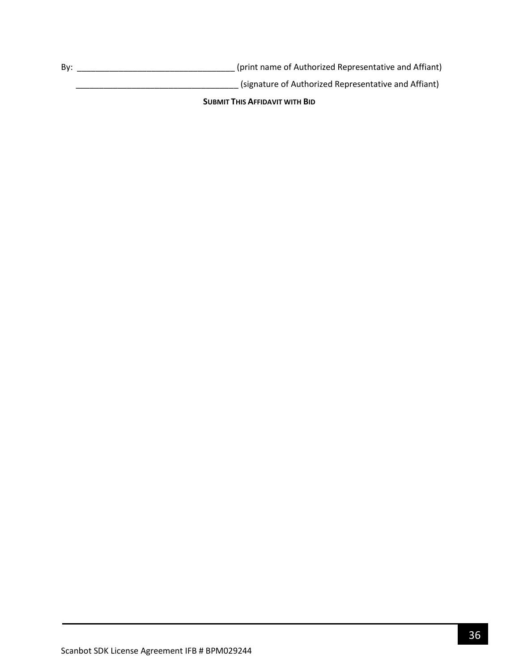By: \_\_\_\_\_\_\_\_\_\_\_\_\_\_\_\_\_\_\_\_\_\_\_\_\_\_\_\_\_\_\_\_\_\_ (print name of Authorized Representative and Affiant)

\_\_\_\_\_\_\_\_\_\_\_\_\_\_\_\_\_\_\_\_\_\_\_\_\_\_\_\_\_\_\_\_\_\_\_ (signature of Authorized Representative and Affiant)

**SUBMIT THIS AFFIDAVIT WITH BID**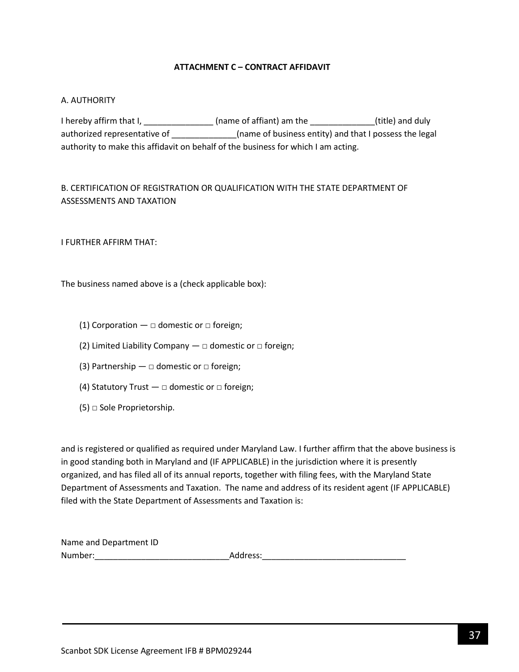## **ATTACHMENT C – CONTRACT AFFIDAVIT**

### <span id="page-36-0"></span>A. AUTHORITY

I hereby affirm that I, \_\_\_\_\_\_\_\_\_\_\_\_\_\_\_\_\_(name of affiant) am the \_\_\_\_\_\_\_\_\_\_\_\_\_\_(title) and duly authorized representative of \_\_\_\_\_\_\_\_\_\_\_\_\_\_\_\_(name of business entity) and that I possess the legal authority to make this affidavit on behalf of the business for which I am acting.

# B. CERTIFICATION OF REGISTRATION OR QUALIFICATION WITH THE STATE DEPARTMENT OF ASSESSMENTS AND TAXATION

I FURTHER AFFIRM THAT:

The business named above is a (check applicable box):

- (1) Corporation  $\Box$  domestic or  $\Box$  foreign;
- (2) Limited Liability Company  $-\Box$  domestic or  $\Box$  foreign;
- (3) Partnership  $\Box$  domestic or  $\Box$  foreign;
- (4) Statutory Trust  $-\Box$  domestic or  $\Box$  foreign;
- $(5)$   $\Box$  Sole Proprietorship.

and is registered or qualified as required under Maryland Law. I further affirm that the above business is in good standing both in Maryland and (IF APPLICABLE) in the jurisdiction where it is presently organized, and has filed all of its annual reports, together with filing fees, with the Maryland State Department of Assessments and Taxation. The name and address of its resident agent (IF APPLICABLE) filed with the State Department of Assessments and Taxation is:

| Name and Department ID |          |
|------------------------|----------|
| Number:                | Address: |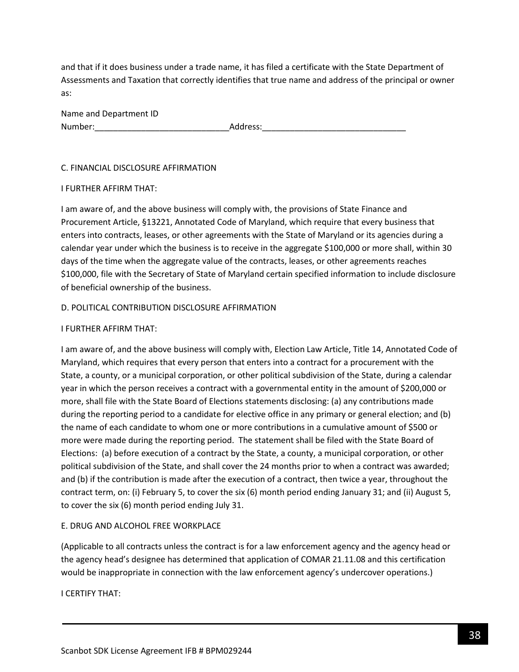and that if it does business under a trade name, it has filed a certificate with the State Department of Assessments and Taxation that correctly identifies that true name and address of the principal or owner as:

| Name and Department ID |          |
|------------------------|----------|
| Number:                | Address: |

### C. FINANCIAL DISCLOSURE AFFIRMATION

### I FURTHER AFFIRM THAT:

I am aware of, and the above business will comply with, the provisions of State Finance and Procurement Article, §13221, Annotated Code of Maryland, which require that every business that enters into contracts, leases, or other agreements with the State of Maryland or its agencies during a calendar year under which the business is to receive in the aggregate \$100,000 or more shall, within 30 days of the time when the aggregate value of the contracts, leases, or other agreements reaches \$100,000, file with the Secretary of State of Maryland certain specified information to include disclosure of beneficial ownership of the business.

## D. POLITICAL CONTRIBUTION DISCLOSURE AFFIRMATION

## I FURTHER AFFIRM THAT:

I am aware of, and the above business will comply with, Election Law Article, Title 14, Annotated Code of Maryland, which requires that every person that enters into a contract for a procurement with the State, a county, or a municipal corporation, or other political subdivision of the State, during a calendar year in which the person receives a contract with a governmental entity in the amount of \$200,000 or more, shall file with the State Board of Elections statements disclosing: (a) any contributions made during the reporting period to a candidate for elective office in any primary or general election; and (b) the name of each candidate to whom one or more contributions in a cumulative amount of \$500 or more were made during the reporting period. The statement shall be filed with the State Board of Elections: (a) before execution of a contract by the State, a county, a municipal corporation, or other political subdivision of the State, and shall cover the 24 months prior to when a contract was awarded; and (b) if the contribution is made after the execution of a contract, then twice a year, throughout the contract term, on: (i) February 5, to cover the six (6) month period ending January 31; and (ii) August 5, to cover the six (6) month period ending July 31.

## E. DRUG AND ALCOHOL FREE WORKPLACE

(Applicable to all contracts unless the contract is for a law enforcement agency and the agency head or the agency head's designee has determined that application of COMAR 21.11.08 and this certification would be inappropriate in connection with the law enforcement agency's undercover operations.)

I CERTIFY THAT: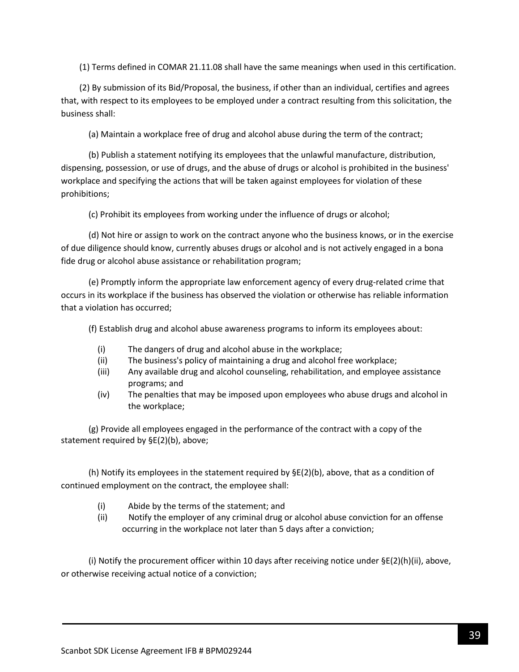(1) Terms defined in COMAR 21.11.08 shall have the same meanings when used in this certification.

(2) By submission of its Bid/Proposal, the business, if other than an individual, certifies and agrees that, with respect to its employees to be employed under a contract resulting from this solicitation, the business shall:

(a) Maintain a workplace free of drug and alcohol abuse during the term of the contract;

(b) Publish a statement notifying its employees that the unlawful manufacture, distribution, dispensing, possession, or use of drugs, and the abuse of drugs or alcohol is prohibited in the business' workplace and specifying the actions that will be taken against employees for violation of these prohibitions;

(c) Prohibit its employees from working under the influence of drugs or alcohol;

(d) Not hire or assign to work on the contract anyone who the business knows, or in the exercise of due diligence should know, currently abuses drugs or alcohol and is not actively engaged in a bona fide drug or alcohol abuse assistance or rehabilitation program;

(e) Promptly inform the appropriate law enforcement agency of every drug-related crime that occurs in its workplace if the business has observed the violation or otherwise has reliable information that a violation has occurred;

(f) Establish drug and alcohol abuse awareness programs to inform its employees about:

- (i) The dangers of drug and alcohol abuse in the workplace;
- (ii) The business's policy of maintaining a drug and alcohol free workplace;
- (iii) Any available drug and alcohol counseling, rehabilitation, and employee assistance programs; and
- (iv) The penalties that may be imposed upon employees who abuse drugs and alcohol in the workplace;

(g) Provide all employees engaged in the performance of the contract with a copy of the statement required by §E(2)(b), above;

(h) Notify its employees in the statement required by  $\S E(2)$ (b), above, that as a condition of continued employment on the contract, the employee shall:

- (i) Abide by the terms of the statement; and
- (ii) Notify the employer of any criminal drug or alcohol abuse conviction for an offense occurring in the workplace not later than 5 days after a conviction;

(i) Notify the procurement officer within 10 days after receiving notice under  $\Sigma(2)(h)(ii)$ , above, or otherwise receiving actual notice of a conviction;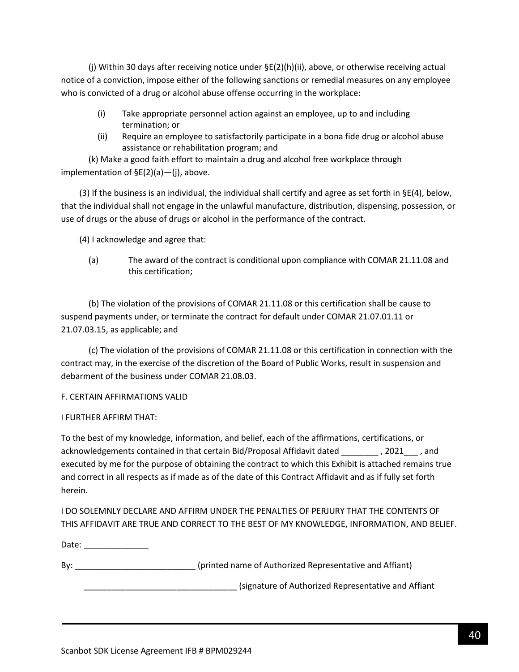(j) Within 30 days after receiving notice under §E(2)(h)(ii), above, or otherwise receiving actual notice of a conviction, impose either of the following sanctions or remedial measures on any employee who is convicted of a drug or alcohol abuse offense occurring in the workplace:

- (i) Take appropriate personnel action against an employee, up to and including termination; or
- (ii) Require an employee to satisfactorily participate in a bona fide drug or alcohol abuse assistance or rehabilitation program; and

(k) Make a good faith effort to maintain a drug and alcohol free workplace through implementation of §E(2)(a)—(j), above.

(3) If the business is an individual, the individual shall certify and agree as set forth in  $\S E(4)$ , below, that the individual shall not engage in the unlawful manufacture, distribution, dispensing, possession, or use of drugs or the abuse of drugs or alcohol in the performance of the contract.

(4) I acknowledge and agree that:

(a) The award of the contract is conditional upon compliance with COMAR 21.11.08 and this certification;

(b) The violation of the provisions of COMAR 21.11.08 or this certification shall be cause to suspend payments under, or terminate the contract for default under COMAR 21.07.01.11 or 21.07.03.15, as applicable; and

(c) The violation of the provisions of COMAR 21.11.08 or this certification in connection with the contract may, in the exercise of the discretion of the Board of Public Works, result in suspension and debarment of the business under COMAR 21.08.03.

## F. CERTAIN AFFIRMATIONS VALID

### I FURTHER AFFIRM THAT:

To the best of my knowledge, information, and belief, each of the affirmations, certifications, or acknowledgements contained in that certain Bid/Proposal Affidavit dated \_\_\_\_\_\_\_\_ , 2021\_\_\_ , and executed by me for the purpose of obtaining the contract to which this Exhibit is attached remains true and correct in all respects as if made as of the date of this Contract Affidavit and as if fully set forth herein.

I DO SOLEMNLY DECLARE AND AFFIRM UNDER THE PENALTIES OF PERJURY THAT THE CONTENTS OF THIS AFFIDAVIT ARE TRUE AND CORRECT TO THE BEST OF MY KNOWLEDGE, INFORMATION, AND BELIEF.

Date: \_\_\_\_\_\_\_\_\_\_\_\_\_\_\_

By: example and the state of authorized Representative and Affiant)

\_\_\_\_\_\_\_\_\_\_\_\_\_\_\_\_\_\_\_\_\_\_\_\_\_\_\_\_\_\_\_\_\_ (signature of Authorized Representative and Affiant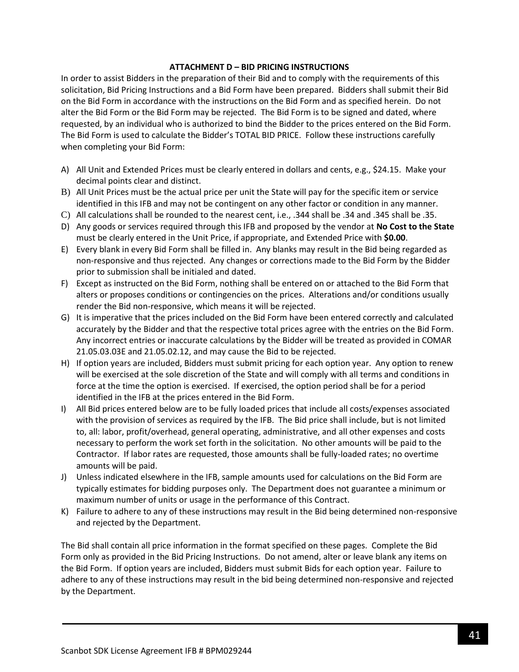### **ATTACHMENT D – BID PRICING INSTRUCTIONS**

In order to assist Bidders in the preparation of their Bid and to comply with the requirements of this solicitation, Bid Pricing Instructions and a Bid Form have been prepared. Bidders shall submit their Bid on the Bid Form in accordance with the instructions on the Bid Form and as specified herein. Do not alter the Bid Form or the Bid Form may be rejected. The Bid Form is to be signed and dated, where requested, by an individual who is authorized to bind the Bidder to the prices entered on the Bid Form. The Bid Form is used to calculate the Bidder's TOTAL BID PRICE. Follow these instructions carefully when completing your Bid Form:

- A) All Unit and Extended Prices must be clearly entered in dollars and cents, e.g., \$24.15. Make your decimal points clear and distinct.
- B) All Unit Prices must be the actual price per unit the State will pay for the specific item or service identified in this IFB and may not be contingent on any other factor or condition in any manner.
- C) All calculations shall be rounded to the nearest cent, i.e., .344 shall be .34 and .345 shall be .35.
- D) Any goods or services required through this IFB and proposed by the vendor at **No Cost to the State** must be clearly entered in the Unit Price, if appropriate, and Extended Price with **\$0.00**.
- E) Every blank in every Bid Form shall be filled in. Any blanks may result in the Bid being regarded as non-responsive and thus rejected. Any changes or corrections made to the Bid Form by the Bidder prior to submission shall be initialed and dated.
- F) Except as instructed on the Bid Form, nothing shall be entered on or attached to the Bid Form that alters or proposes conditions or contingencies on the prices. Alterations and/or conditions usually render the Bid non-responsive, which means it will be rejected.
- G) It is imperative that the prices included on the Bid Form have been entered correctly and calculated accurately by the Bidder and that the respective total prices agree with the entries on the Bid Form. Any incorrect entries or inaccurate calculations by the Bidder will be treated as provided in COMAR 21.05.03.03E and 21.05.02.12, and may cause the Bid to be rejected.
- H) If option years are included, Bidders must submit pricing for each option year. Any option to renew will be exercised at the sole discretion of the State and will comply with all terms and conditions in force at the time the option is exercised. If exercised, the option period shall be for a period identified in the IFB at the prices entered in the Bid Form.
- I) All Bid prices entered below are to be fully loaded prices that include all costs/expenses associated with the provision of services as required by the IFB. The Bid price shall include, but is not limited to, all: labor, profit/overhead, general operating, administrative, and all other expenses and costs necessary to perform the work set forth in the solicitation. No other amounts will be paid to the Contractor. If labor rates are requested, those amounts shall be fully-loaded rates; no overtime amounts will be paid.
- J) Unless indicated elsewhere in the IFB, sample amounts used for calculations on the Bid Form are typically estimates for bidding purposes only. The Department does not guarantee a minimum or maximum number of units or usage in the performance of this Contract.
- K) Failure to adhere to any of these instructions may result in the Bid being determined non-responsive and rejected by the Department.

The Bid shall contain all price information in the format specified on these pages. Complete the Bid Form only as provided in the Bid Pricing Instructions. Do not amend, alter or leave blank any items on the Bid Form. If option years are included, Bidders must submit Bids for each option year. Failure to adhere to any of these instructions may result in the bid being determined non-responsive and rejected by the Department.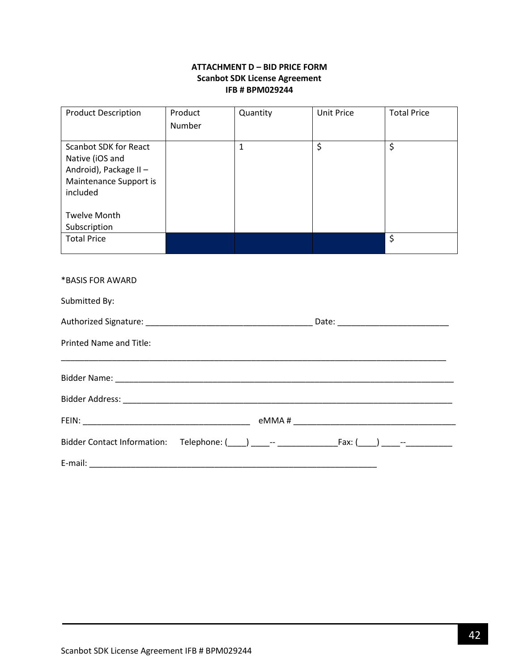## **ATTACHMENT D – BID PRICE FORM Scanbot SDK License Agreement IFB # BPM029244**

<span id="page-41-0"></span>

| <b>Product Description</b>                                                                                      | Product<br>Number | Quantity     | <b>Unit Price</b> | <b>Total Price</b> |  |
|-----------------------------------------------------------------------------------------------------------------|-------------------|--------------|-------------------|--------------------|--|
| <b>Scanbot SDK for React</b><br>Native (iOS and<br>Android), Package II -<br>Maintenance Support is<br>included |                   | $\mathbf{1}$ | \$                | \$                 |  |
| <b>Twelve Month</b><br>Subscription                                                                             |                   |              |                   |                    |  |
| <b>Total Price</b>                                                                                              |                   |              |                   | \$                 |  |
| *BASIS FOR AWARD                                                                                                |                   |              |                   |                    |  |
| Submitted By:                                                                                                   |                   |              |                   |                    |  |
| Authorized Signature:                                                                                           |                   |              | Date:             |                    |  |

\_\_\_\_\_\_\_\_\_\_\_\_\_\_\_\_\_\_\_\_\_\_\_\_\_\_\_\_\_\_\_\_\_\_\_\_\_\_\_\_\_\_\_\_\_\_\_\_\_\_\_\_\_\_\_\_\_\_\_\_\_\_\_\_\_\_\_\_\_\_\_\_\_\_\_\_\_\_\_\_\_\_\_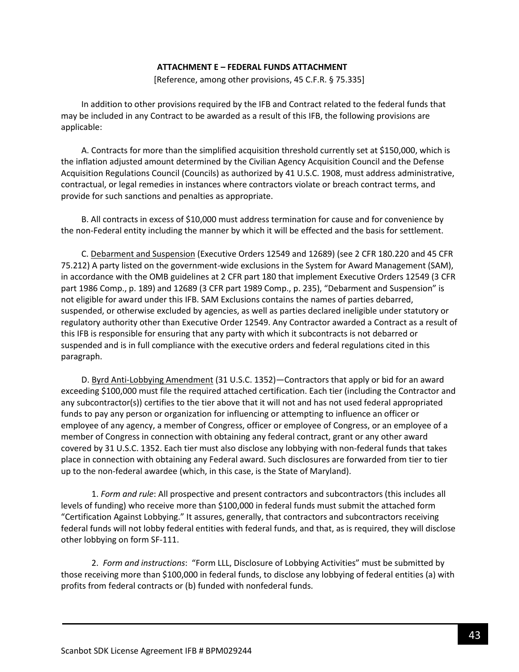#### **ATTACHMENT E – FEDERAL FUNDS ATTACHMENT**

[Reference, among other provisions, 45 C.F.R. § 75.335]

<span id="page-42-0"></span>In addition to other provisions required by the IFB and Contract related to the federal funds that may be included in any Contract to be awarded as a result of this IFB, the following provisions are applicable:

A. Contracts for more than the simplified acquisition threshold currently set at \$150,000, which is the inflation adjusted amount determined by the Civilian Agency Acquisition Council and the Defense Acquisition Regulations Council (Councils) as authorized by 41 U.S.C. 1908, must address administrative, contractual, or legal remedies in instances where contractors violate or breach contract terms, and provide for such sanctions and penalties as appropriate.

B. All contracts in excess of \$10,000 must address termination for cause and for convenience by the non-Federal entity including the manner by which it will be effected and the basis for settlement.

C. Debarment and Suspension (Executive Orders 12549 and 12689) (see 2 CFR 180.220 and 45 CFR 75.212) A party listed on the government-wide exclusions in the System for Award Management (SAM), in accordance with the OMB guidelines at 2 CFR part 180 that implement Executive Orders 12549 (3 CFR part 1986 Comp., p. 189) and 12689 (3 CFR part 1989 Comp., p. 235), "Debarment and Suspension" is not eligible for award under this IFB. SAM Exclusions contains the names of parties debarred, suspended, or otherwise excluded by agencies, as well as parties declared ineligible under statutory or regulatory authority other than Executive Order 12549. Any Contractor awarded a Contract as a result of this IFB is responsible for ensuring that any party with which it subcontracts is not debarred or suspended and is in full compliance with the executive orders and federal regulations cited in this paragraph.

D. Byrd Anti-Lobbying Amendment (31 U.S.C. 1352)—Contractors that apply or bid for an award exceeding \$100,000 must file the required attached certification. Each tier (including the Contractor and any subcontractor(s)) certifies to the tier above that it will not and has not used federal appropriated funds to pay any person or organization for influencing or attempting to influence an officer or employee of any agency, a member of Congress, officer or employee of Congress, or an employee of a member of Congress in connection with obtaining any federal contract, grant or any other award covered by 31 U.S.C. 1352. Each tier must also disclose any lobbying with non-federal funds that takes place in connection with obtaining any Federal award. Such disclosures are forwarded from tier to tier up to the non-federal awardee (which, in this case, is the State of Maryland).

1. *Form and rule*: All prospective and present contractors and subcontractors (this includes all levels of funding) who receive more than \$100,000 in federal funds must submit the attached form "Certification Against Lobbying." It assures, generally, that contractors and subcontractors receiving federal funds will not lobby federal entities with federal funds, and that, as is required, they will disclose other lobbying on form SF-111.

2. *Form and instructions*: "Form LLL, Disclosure of Lobbying Activities" must be submitted by those receiving more than \$100,000 in federal funds, to disclose any lobbying of federal entities (a) with profits from federal contracts or (b) funded with nonfederal funds.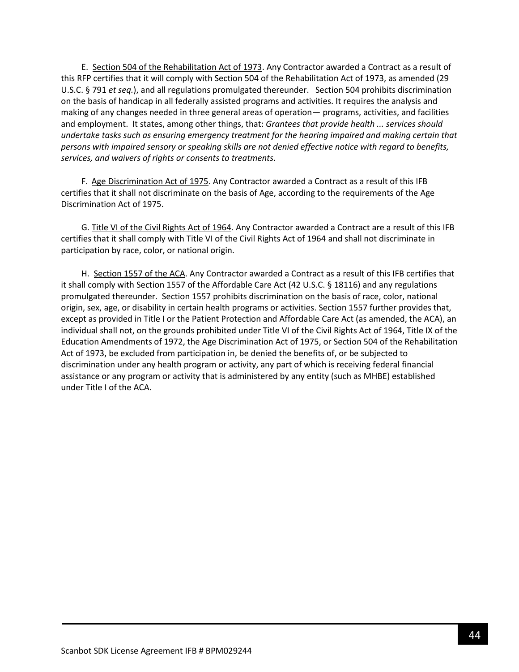E. Section 504 of the Rehabilitation Act of 1973. Any Contractor awarded a Contract as a result of this RFP certifies that it will comply with Section 504 of the Rehabilitation Act of 1973, as amended (29 U.S.C. § 791 *et seq.*), and all regulations promulgated thereunder. Section 504 prohibits discrimination on the basis of handicap in all federally assisted programs and activities. It requires the analysis and making of any changes needed in three general areas of operation— programs, activities, and facilities and employment. It states, among other things, that: *Grantees that provide health ... services should undertake tasks such as ensuring emergency treatment for the hearing impaired and making certain that persons with impaired sensory or speaking skills are not denied effective notice with regard to benefits, services, and waivers of rights or consents to treatments*.

F. Age Discrimination Act of 1975. Any Contractor awarded a Contract as a result of this IFB certifies that it shall not discriminate on the basis of Age, according to the requirements of the Age Discrimination Act of 1975.

G. Title VI of the Civil Rights Act of 1964. Any Contractor awarded a Contract are a result of this IFB certifies that it shall comply with Title VI of the Civil Rights Act of 1964 and shall not discriminate in participation by race, color, or national origin.

H. Section 1557 of the ACA. Any Contractor awarded a Contract as a result of this IFB certifies that it shall comply with Section 1557 of the Affordable Care Act (42 U.S.C. § 18116) and any regulations promulgated thereunder. Section 1557 prohibits discrimination on the basis of race, color, national origin, sex, age, or disability in certain health programs or activities. Section 1557 further provides that, except as provided in Title I or the Patient Protection and Affordable Care Act (as amended, the ACA), an individual shall not, on the grounds prohibited under Title VI of the Civil Rights Act of 1964, Title IX of the Education Amendments of 1972, the Age Discrimination Act of 1975, or Section 504 of the Rehabilitation Act of 1973, be excluded from participation in, be denied the benefits of, or be subjected to discrimination under any health program or activity, any part of which is receiving federal financial assistance or any program or activity that is administered by any entity (such as MHBE) established under Title I of the ACA.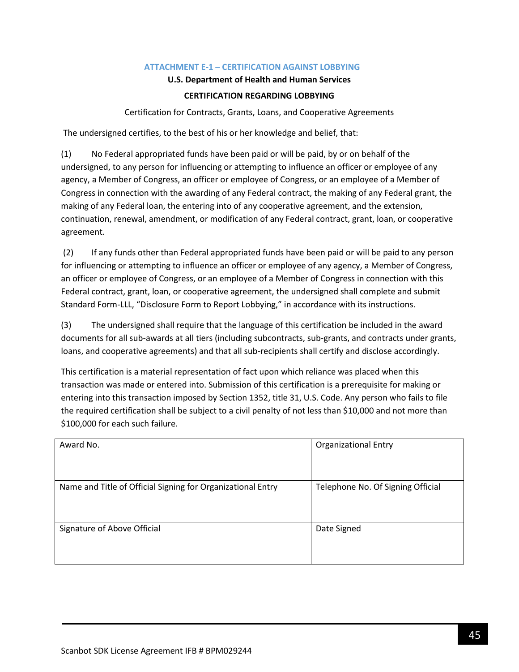## **ATTACHMENT E-1 – CERTIFICATION AGAINST LOBBYING**

### **U.S. Department of Health and Human Services**

## **CERTIFICATION REGARDING LOBBYING**

Certification for Contracts, Grants, Loans, and Cooperative Agreements

<span id="page-44-0"></span>The undersigned certifies, to the best of his or her knowledge and belief, that:

(1) No Federal appropriated funds have been paid or will be paid, by or on behalf of the undersigned, to any person for influencing or attempting to influence an officer or employee of any agency, a Member of Congress, an officer or employee of Congress, or an employee of a Member of Congress in connection with the awarding of any Federal contract, the making of any Federal grant, the making of any Federal loan, the entering into of any cooperative agreement, and the extension, continuation, renewal, amendment, or modification of any Federal contract, grant, loan, or cooperative agreement.

(2) If any funds other than Federal appropriated funds have been paid or will be paid to any person for influencing or attempting to influence an officer or employee of any agency, a Member of Congress, an officer or employee of Congress, or an employee of a Member of Congress in connection with this Federal contract, grant, loan, or cooperative agreement, the undersigned shall complete and submit Standard Form-LLL, "Disclosure Form to Report Lobbying," in accordance with its instructions.

(3) The undersigned shall require that the language of this certification be included in the award documents for all sub-awards at all tiers (including subcontracts, sub-grants, and contracts under grants, loans, and cooperative agreements) and that all sub-recipients shall certify and disclose accordingly.

This certification is a material representation of fact upon which reliance was placed when this transaction was made or entered into. Submission of this certification is a prerequisite for making or entering into this transaction imposed by Section 1352, title 31, U.S. Code. Any person who fails to file the required certification shall be subject to a civil penalty of not less than \$10,000 and not more than \$100,000 for each such failure.

| Award No.                                                   | <b>Organizational Entry</b>       |
|-------------------------------------------------------------|-----------------------------------|
| Name and Title of Official Signing for Organizational Entry | Telephone No. Of Signing Official |
| Signature of Above Official                                 | Date Signed                       |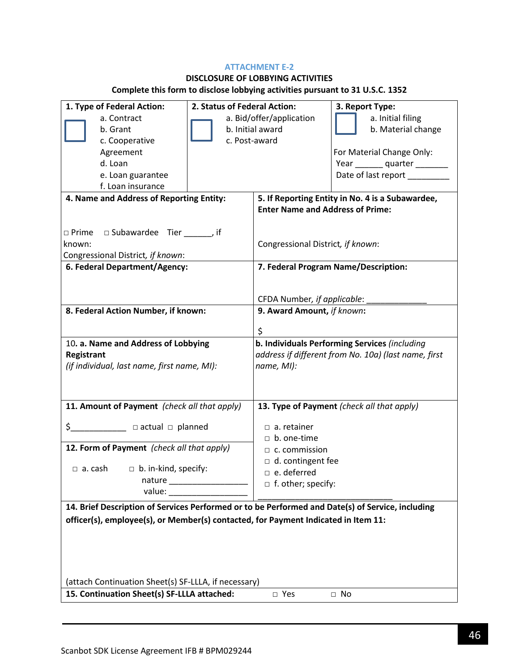## **ATTACHMENT E-2**

# **DISCLOSURE OF LOBBYING ACTIVITIES**

# **Complete this form to disclose lobbying activities pursuant to 31 U.S.C. 1352**

| 1. Type of Federal Action:                                                                                                                                                                                                                                                                                          | 2. Status of Federal Action:      |                                         | 3. Report Type:                                      |
|---------------------------------------------------------------------------------------------------------------------------------------------------------------------------------------------------------------------------------------------------------------------------------------------------------------------|-----------------------------------|-----------------------------------------|------------------------------------------------------|
| a. Contract                                                                                                                                                                                                                                                                                                         | a. Bid/offer/application          |                                         | a. Initial filing                                    |
| b. Grant                                                                                                                                                                                                                                                                                                            | b. Initial award                  |                                         | b. Material change                                   |
| c. Cooperative                                                                                                                                                                                                                                                                                                      |                                   | c. Post-award                           |                                                      |
| Agreement                                                                                                                                                                                                                                                                                                           |                                   |                                         | For Material Change Only:                            |
| d. Loan                                                                                                                                                                                                                                                                                                             |                                   |                                         | Year ________ quarter ________                       |
| e. Loan guarantee                                                                                                                                                                                                                                                                                                   |                                   |                                         | Date of last report ________                         |
| f. Loan insurance                                                                                                                                                                                                                                                                                                   |                                   |                                         |                                                      |
| 4. Name and Address of Reporting Entity:                                                                                                                                                                                                                                                                            |                                   |                                         | 5. If Reporting Entity in No. 4 is a Subawardee,     |
|                                                                                                                                                                                                                                                                                                                     |                                   | <b>Enter Name and Address of Prime:</b> |                                                      |
|                                                                                                                                                                                                                                                                                                                     |                                   |                                         |                                                      |
| □ Subawardee Tier ______, if<br>$\Box$ Prime                                                                                                                                                                                                                                                                        |                                   |                                         |                                                      |
| known:                                                                                                                                                                                                                                                                                                              | Congressional District, if known: |                                         |                                                      |
| Congressional District, if known:                                                                                                                                                                                                                                                                                   |                                   |                                         |                                                      |
| 6. Federal Department/Agency:                                                                                                                                                                                                                                                                                       |                                   | 7. Federal Program Name/Description:    |                                                      |
|                                                                                                                                                                                                                                                                                                                     |                                   |                                         |                                                      |
|                                                                                                                                                                                                                                                                                                                     |                                   | CFDA Number, if applicable:             |                                                      |
| 8. Federal Action Number, if known:                                                                                                                                                                                                                                                                                 |                                   | 9. Award Amount, if known:              |                                                      |
|                                                                                                                                                                                                                                                                                                                     |                                   |                                         |                                                      |
|                                                                                                                                                                                                                                                                                                                     |                                   | \$                                      |                                                      |
| 10. a. Name and Address of Lobbying                                                                                                                                                                                                                                                                                 |                                   |                                         | b. Individuals Performing Services (including        |
| Registrant                                                                                                                                                                                                                                                                                                          |                                   |                                         | address if different from No. 10a) (last name, first |
| (if individual, last name, first name, MI):                                                                                                                                                                                                                                                                         |                                   | name, MI):                              |                                                      |
|                                                                                                                                                                                                                                                                                                                     |                                   |                                         |                                                      |
|                                                                                                                                                                                                                                                                                                                     |                                   |                                         |                                                      |
| 11. Amount of Payment (check all that apply)                                                                                                                                                                                                                                                                        |                                   |                                         | 13. Type of Payment (check all that apply)           |
|                                                                                                                                                                                                                                                                                                                     |                                   |                                         |                                                      |
| $\frac{1}{2}$ $\frac{1}{2}$ $\frac{1}{2}$ $\frac{1}{2}$ $\frac{1}{2}$ $\frac{1}{2}$ $\frac{1}{2}$ $\frac{1}{2}$ $\frac{1}{2}$ $\frac{1}{2}$ $\frac{1}{2}$ $\frac{1}{2}$ $\frac{1}{2}$ $\frac{1}{2}$ $\frac{1}{2}$ $\frac{1}{2}$ $\frac{1}{2}$ $\frac{1}{2}$ $\frac{1}{2}$ $\frac{1}{2}$ $\frac{1}{2}$ $\frac{1}{2}$ |                                   | $\Box$ a. retainer                      |                                                      |
|                                                                                                                                                                                                                                                                                                                     |                                   | $\Box$ b. one-time                      |                                                      |
| 12. Form of Payment (check all that apply)                                                                                                                                                                                                                                                                          |                                   | $\Box$ c. commission                    |                                                      |
|                                                                                                                                                                                                                                                                                                                     |                                   | $\Box$ d. contingent fee                |                                                      |
| $\Box$ a. cash<br>$\Box$ b. in-kind, specify:                                                                                                                                                                                                                                                                       |                                   | $\Box$ e. deferred                      |                                                      |
| nature                                                                                                                                                                                                                                                                                                              |                                   | $\Box$ f. other; specify:               |                                                      |
| value:                                                                                                                                                                                                                                                                                                              |                                   |                                         |                                                      |
| 14. Brief Description of Services Performed or to be Performed and Date(s) of Service, including                                                                                                                                                                                                                    |                                   |                                         |                                                      |
| officer(s), employee(s), or Member(s) contacted, for Payment Indicated in Item 11:                                                                                                                                                                                                                                  |                                   |                                         |                                                      |
|                                                                                                                                                                                                                                                                                                                     |                                   |                                         |                                                      |
|                                                                                                                                                                                                                                                                                                                     |                                   |                                         |                                                      |
|                                                                                                                                                                                                                                                                                                                     |                                   |                                         |                                                      |
|                                                                                                                                                                                                                                                                                                                     |                                   |                                         |                                                      |
| (attach Continuation Sheet(s) SF-LLLA, if necessary)                                                                                                                                                                                                                                                                |                                   |                                         |                                                      |
| 15. Continuation Sheet(s) SF-LLLA attached:<br>□ Yes<br>$\Box$ No                                                                                                                                                                                                                                                   |                                   |                                         |                                                      |
|                                                                                                                                                                                                                                                                                                                     |                                   |                                         |                                                      |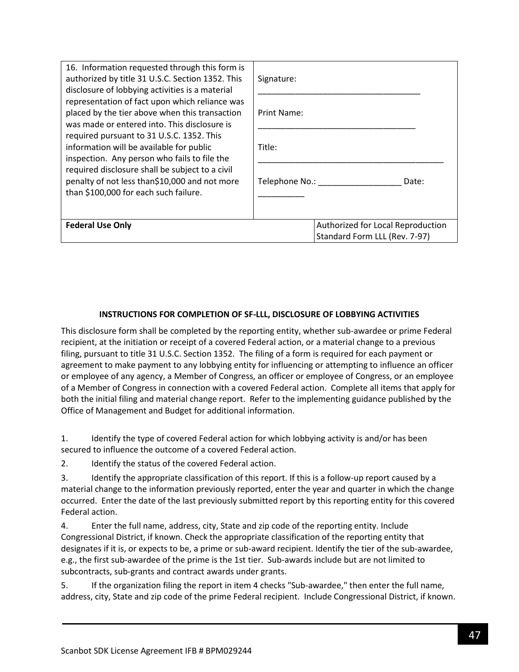| 16. Information requested through this form is<br>authorized by title 31 U.S.C. Section 1352. This<br>disclosure of lobbying activities is a material                                                                                                                                                                                                                                                                                  | Signature:                                                         |  |  |
|----------------------------------------------------------------------------------------------------------------------------------------------------------------------------------------------------------------------------------------------------------------------------------------------------------------------------------------------------------------------------------------------------------------------------------------|--------------------------------------------------------------------|--|--|
| representation of fact upon which reliance was<br>placed by the tier above when this transaction<br>was made or entered into. This disclosure is<br>required pursuant to 31 U.S.C. 1352. This<br>information will be available for public<br>inspection. Any person who fails to file the<br>required disclosure shall be subject to a civil<br>penalty of not less than\$10,000 and not more<br>than \$100,000 for each such failure. | Print Name:                                                        |  |  |
|                                                                                                                                                                                                                                                                                                                                                                                                                                        | Title:                                                             |  |  |
|                                                                                                                                                                                                                                                                                                                                                                                                                                        | Telephone No.:<br>Date:                                            |  |  |
| <b>Federal Use Only</b>                                                                                                                                                                                                                                                                                                                                                                                                                | Authorized for Local Reproduction<br>Standard Form LLL (Rev. 7-97) |  |  |

## **INSTRUCTIONS FOR COMPLETION OF SF-LLL, DISCLOSURE OF LOBBYING ACTIVITIES**

This disclosure form shall be completed by the reporting entity, whether sub-awardee or prime Federal recipient, at the initiation or receipt of a covered Federal action, or a material change to a previous filing, pursuant to title 31 U.S.C. Section 1352. The filing of a form is required for each payment or agreement to make payment to any lobbying entity for influencing or attempting to influence an officer or employee of any agency, a Member of Congress, an officer or employee of Congress, or an employee of a Member of Congress in connection with a covered Federal action. Complete all items that apply for both the initial filing and material change report. Refer to the implementing guidance published by the Office of Management and Budget for additional information.

1. Identify the type of covered Federal action for which lobbying activity is and/or has been secured to influence the outcome of a covered Federal action.

2. Identify the status of the covered Federal action.

3. Identify the appropriate classification of this report. If this is a follow-up report caused by a material change to the information previously reported, enter the year and quarter in which the change occurred. Enter the date of the last previously submitted report by this reporting entity for this covered Federal action.

4. Enter the full name, address, city, State and zip code of the reporting entity. Include Congressional District, if known. Check the appropriate classification of the reporting entity that designates if it is, or expects to be, a prime or sub-award recipient. Identify the tier of the sub-awardee, e.g., the first sub-awardee of the prime is the 1st tier. Sub-awards include but are not limited to subcontracts, sub-grants and contract awards under grants.

5. If the organization filing the report in item 4 checks "Sub-awardee," then enter the full name, address, city, State and zip code of the prime Federal recipient. Include Congressional District, if known.